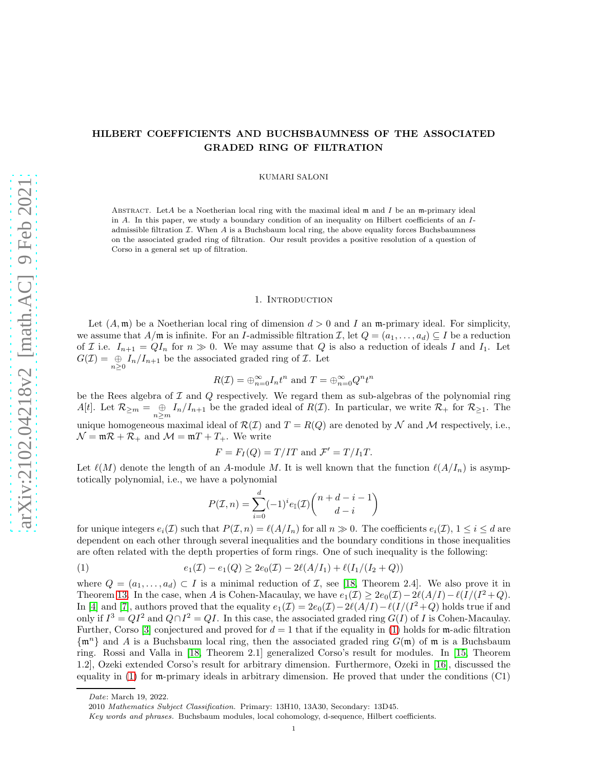# HILBERT COEFFICIENTS AND BUCHSBAUMNESS OF THE ASSOCIATED GRADED RING OF FILTRATION

KUMARI SALONI

ABSTRACT. LetA be a Noetherian local ring with the maximal ideal  $m$  and  $I$  be an m-primary ideal in A. In this paper, we study a boundary condition of an inequality on Hilbert coefficients of an Iadmissible filtration  $I$ . When A is a Buchsbaum local ring, the above equality forces Buchsbaumness on the associated graded ring of filtration. Our result provides a positive resolution of a question of Corso in a general set up of filtration.

#### 1. Introduction

Let  $(A, \mathfrak{m})$  be a Noetherian local ring of dimension  $d > 0$  and I an  $\mathfrak{m}$ -primary ideal. For simplicity, we assume that  $A/\mathfrak{m}$  is infinite. For an I-admissible filtration  $\mathcal{I}$ , let  $Q = (a_1, \ldots, a_d) \subseteq I$  be a reduction of *I* i.e.  $I_{n+1} = QI_n$  for  $n \gg 0$ . We may assume that *Q* is also a reduction of ideals *I* and *I*<sub>1</sub>. Let  $G(\mathcal{I}) = \bigoplus_{n \geq 0} I_n/I_{n+1}$  be the associated graded ring of  $\mathcal{I}$ . Let

$$
R(\mathcal{I}) = \bigoplus_{n=0}^{\infty} I_n t^n
$$
 and 
$$
T = \bigoplus_{n=0}^{\infty} Q^n t^n
$$

be the Rees algebra of  $\mathcal I$  and  $Q$  respectively. We regard them as sub-algebras of the polynomial ring  $A[t]$ . Let  $\mathcal{R}_{\geq m} = \bigoplus_{n \geq m} I_n/I_{n+1}$  be the graded ideal of  $R(\mathcal{I})$ . In particular, we write  $\mathcal{R}_+$  for  $\mathcal{R}_{\geq 1}$ . The unique homogeneous maximal ideal of  $\mathcal{R}(\mathcal{I})$  and  $T = R(Q)$  are denoted by  $\mathcal N$  and  $\mathcal M$  respectively, i.e.,  $\mathcal{N} = \mathfrak{m} \mathcal{R} + \mathcal{R}_+$  and  $\mathcal{M} = \mathfrak{m} T + T_+$ . We write

$$
F = F_I(Q) = T/IT
$$
 and 
$$
\mathcal{F}' = T/I_1T.
$$

Let  $\ell(M)$  denote the length of an A-module M. It is well known that the function  $\ell(A/I_n)$  is asymptotically polynomial, i.e., we have a polynomial

<span id="page-0-0"></span>
$$
P(\mathcal{I}, n) = \sum_{i=0}^{d} (-1)^{i} e_{\mathbb{I}}(\mathcal{I}) {n+d-i-1 \choose d-i}
$$

for unique integers  $e_i(\mathcal{I})$  such that  $P(\mathcal{I}, n) = \ell(A/I_n)$  for all  $n \gg 0$ . The coefficients  $e_i(\mathcal{I}), 1 \leq i \leq d$  are dependent on each other through several inequalities and the boundary conditions in those inequalities are often related with the depth properties of form rings. One of such inequality is the following:

(1) 
$$
e_1(\mathcal{I}) - e_1(Q) \geq 2e_0(\mathcal{I}) - 2\ell(A/I_1) + \ell(I_1/(I_2 + Q))
$$

where  $Q = (a_1, \ldots, a_d) \subset I$  is a minimal reduction of  $\mathcal{I}$ , see [\[18,](#page-17-0) Theorem 2.4]. We also prove it in Theorem [13.](#page-6-0) In the case, when A is Cohen-Macaulay, we have  $e_1(\mathcal{I}) \geq 2e_0(\mathcal{I}) - 2\ell(A/I) - \ell(I/(I^2+Q))$ . In [\[4\]](#page-17-1) and [\[7\]](#page-17-2), authors proved that the equality  $e_1(\mathcal{I}) = 2e_0(\mathcal{I}) - 2\ell(A/I) - \ell(I/(I^2+Q))$  holds true if and only if  $I^3 = QI^2$  and  $Q \cap I^2 = QI$ . In this case, the associated graded ring  $G(I)$  of I is Cohen-Macaulay. Further, Corso [\[3\]](#page-16-0) conjectured and proved for  $d = 1$  that if the equality in [\(1\)](#page-0-0) holds for m-adic filtration  $\{\mathfrak{m}^n\}$  and A is a Buchsbaum local ring, then the associated graded ring  $G(\mathfrak{m})$  of  $\mathfrak{m}$  is a Buchsbaum ring. Rossi and Valla in [\[18,](#page-17-0) Theorem 2.1] generalized Corso's result for modules. In [\[15,](#page-17-3) Theorem 1.2], Ozeki extended Corso's result for arbitrary dimension. Furthermore, Ozeki in [\[16\]](#page-17-4), discussed the equality in  $(1)$  for m-primary ideals in arbitrary dimension. He proved that under the conditions  $(C1)$ 

Date: March 19, 2022.

<sup>2010</sup> Mathematics Subject Classification. Primary: 13H10, 13A30, Secondary: 13D45.

Key words and phrases. Buchsbaum modules, local cohomology, d-sequence, Hilbert coefficients.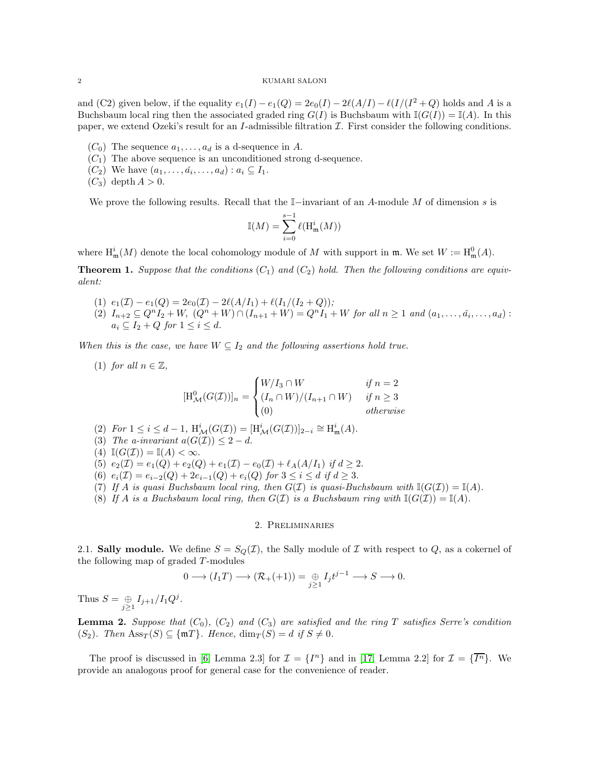and (C2) given below, if the equality  $e_1(I) - e_1(Q) = 2e_0(I) - 2\ell(A/I) - \ell(I/(I^2 + Q)$  holds and A is a Buchsbaum local ring then the associated graded ring  $G(I)$  is Buchsbaum with  $\mathbb{I}(G(I)) = \mathbb{I}(A)$ . In this paper, we extend Ozeki's result for an I-admissible filtration  $\mathcal I$ . First consider the following conditions.

- $(C_0)$  The sequence  $a_1, \ldots, a_d$  is a d-sequence in A.
- $(C_1)$  The above sequence is an unconditioned strong d-sequence.
- $(C_2)$  We have  $(a_1, \ldots, a_i, \ldots, a_d)$ :  $a_i \subseteq I_1$ .
- $(C_3)$  depth  $A > 0$ .

We prove the following results. Recall that the  $\mathbb{I}-i$ invariant of an A-module M of dimension s is

$$
\mathbb{I}(M) = \sum_{i=0}^{s-1} \ell(\mathrm{H}^i_{\mathfrak{m}}(M))
$$

where  $\mathrm{H}^i_{\mathfrak{m}}(M)$  denote the local cohomology module of M with support in  $\mathfrak{m}$ . We set  $W := \mathrm{H}^0_{\mathfrak{m}}(A)$ .

<span id="page-1-2"></span><span id="page-1-0"></span>**Theorem 1.** Suppose that the conditions  $(C_1)$  and  $(C_2)$  hold. Then the following conditions are equiv*alent:*

- <span id="page-1-1"></span>(1)  $e_1(\mathcal{I}) - e_1(Q) = 2e_0(\mathcal{I}) - 2\ell(A/I_1) + \ell(I_1/(I_2+Q));$
- $(2)$   $I_{n+2} \subseteq Q^{n}I_2 + W$ ,  $(Q^{n} + W) \cap (I_{n+1} + W) = Q^{n}I_1 + W$  *for all*  $n \ge 1$  *and*  $(a_1, ..., a_i, ..., a_d)$ :  $a_i \subseteq I_2 + Q$  *for*  $1 \leq i \leq d$ *.*

<span id="page-1-3"></span>*When this is the case, we have*  $W \subseteq I_2$  *and the following assertions hold true.* 

(1) *for all*  $n \in \mathbb{Z}$ ,

$$
[\mathrm{H}_{\mathcal{M}}^{0}(G(\mathcal{I}))]_n = \begin{cases} W/I_3 \cap W & \text{if } n = 2\\ (I_n \cap W)/(I_{n+1} \cap W) & \text{if } n \ge 3\\ (0) & \text{otherwise} \end{cases}
$$

<span id="page-1-8"></span><span id="page-1-7"></span>(2) *For*  $1 \le i \le d - 1$ ,  $H^i_{\mathcal{M}}(G(\mathcal{I})) = [H^i_{\mathcal{M}}(G(\mathcal{I}))]_{2-i} \cong H^i_{\mathfrak{m}}(A)$ .

- <span id="page-1-9"></span>(3) *The a-invariant*  $a(G(\mathcal{I})) \leq 2 - d$ .
- <span id="page-1-5"></span>(4)  $\mathbb{I}(G(\mathcal{I})) = \mathbb{I}(A) < \infty$ .
- <span id="page-1-6"></span>(5)  $e_2(\mathcal{I}) = e_1(Q) + e_2(Q) + e_1(\mathcal{I}) - e_0(\mathcal{I}) + \ell_A(A/I_1)$  *if*  $d \geq 2$ .
- <span id="page-1-10"></span>(6)  $e_i(\mathcal{I}) = e_{i-2}(Q) + 2e_{i-1}(Q) + e_i(Q)$  *for*  $3 \leq i \leq d$  *if*  $d \geq 3$ .
- <span id="page-1-4"></span>(7) If A is quasi Buchsbaum local ring, then  $G(\mathcal{I})$  is quasi-Buchsbaum with  $\mathbb{I}(G(\mathcal{I})) = \mathbb{I}(A)$ *.*
- (8) If A is a Buchsbaum local ring, then  $G(\mathcal{I})$  is a Buchsbaum ring with  $\mathbb{I}(G(\mathcal{I})) = \mathbb{I}(A)$ .

#### 2. Preliminaries

2.1. Sally module. We define  $S = S_Q(\mathcal{I})$ , the Sally module of  $\mathcal I$  with respect to  $Q$ , as a cokernel of the following map of graded  $T$ -modules

$$
0 \longrightarrow (I_1T) \longrightarrow (\mathcal{R}_+(+1)) = \underset{j \geq 1}{\oplus} I_j t^{j-1} \longrightarrow S \longrightarrow 0.
$$

Thus  $S = \bigoplus_{j \ge 1} I_{j+1}/I_1 Q^j$ .

**Lemma 2.** Suppose that  $(C_0)$ ,  $(C_2)$  and  $(C_3)$  are satisfied and the ring T satisfies Serre's condition  $(S_2)$ *. Then*  $\text{Ass}_T(S) \subseteq \{\text{mT}\}\$ *. Hence,*  $\dim_T(S) = d$  *if*  $S \neq 0$ *.* 

The proof is discussed in [\[6,](#page-17-5) Lemma 2.3] for  $\mathcal{I} = \{I^n\}$  and in [\[17,](#page-17-6) Lemma 2.2] for  $\mathcal{I} = \{\overline{I^n}\}\$ . We provide an analogous proof for general case for the convenience of reader.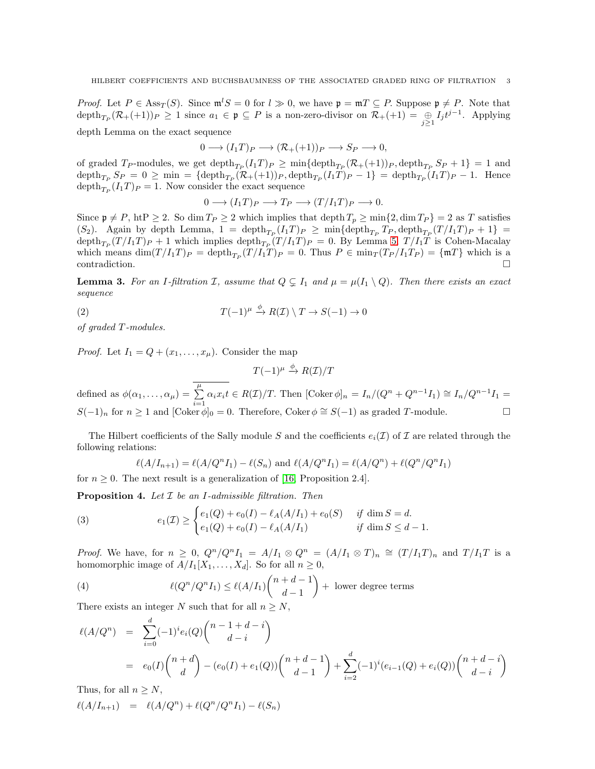*Proof.* Let  $P \in \text{Ass}_{T}(S)$ . Since  $\mathfrak{m}^{l} S = 0$  for  $l \gg 0$ , we have  $\mathfrak{p} = \mathfrak{m}^{r} \subseteq P$ . Suppose  $\mathfrak{p} \neq P$ . Note that  $\text{depth}_{T_P}(\mathcal{R}_+(+1))_P \geq 1$  since  $a_1 \in \mathfrak{p} \subseteq P$  is a non-zero-divisor on  $\mathcal{R}_+(+1) = \bigoplus_{j\geq 1} I_j t^{j-1}$ . Applying depth Lemma on the exact sequence

$$
0 \longrightarrow (I_1T)_P \longrightarrow (\mathcal{R}_+(+1))_P \longrightarrow S_P \longrightarrow 0,
$$

of graded T<sub>P</sub>-modules, we get  $\text{depth}_{T_P}(I_1T)_P \ge \min{\{\text{depth}_{T_P}(\mathcal{R}_+(+1))_P,\text{depth}_{T_P}S_P + 1\}} = 1$  and  $\operatorname{depth}_{T_P} S_P = 0 \ge \min = {\operatorname{depth}_{T_P}(\mathcal{R}_+(+1))_P}, \operatorname{depth}_{T_P}(I_1T)_P - 1} = \operatorname{depth}_{T_P}(I_1T)_P - 1.$  Hence  $\text{depth}_{T_P}(I_1T)P = 1$ . Now consider the exact sequence

$$
0 \longrightarrow (I_1T)_P \longrightarrow T_P \longrightarrow (T/I_1T)_P \longrightarrow 0.
$$

Since  $\mathfrak{p} \neq P$ , ht $P \geq 2$ . So dim  $T_P \geq 2$  which implies that depth  $T_p \geq \min\{2, \dim T_P\} = 2$  as T satisfies (S<sub>2</sub>). Again by depth Lemma,  $1 = \operatorname{depth}_{T_P}(I_1T)_P \ge \min{\{\operatorname{depth}_{T_P} T_P, \operatorname{depth}_{T_P}(T/I_1T)_P + 1\}} =$  $\text{depth}_{T_P}(T/I_1T)_P + 1$  which implies  $\text{depth}_{T_P}(T/I_1T)_P = 0$ . By Lemma [5,](#page-3-0)  $T/I_1T$  is Cohen-Macalay which means  $\dim(T/I_1T)_P = \text{depth}_{T_P}(T/I_1T)_P = 0$ . Thus  $P \in \min_T(T_P/I_1T_P) = \{\text{mT}\}\$  which is a  $\Box$ contradiction.

<span id="page-2-2"></span>**Lemma 3.** For an I-filtration I, assume that  $Q \subsetneq I_1$  and  $\mu = \mu(I_1 \setminus Q)$ . Then there exists an exact *sequence*

(2) 
$$
T(-1)^{\mu} \stackrel{\phi}{\to} R(\mathcal{I}) \setminus T \to S(-1) \to 0
$$

*of graded* T *-modules.*

*Proof.* Let  $I_1 = Q + (x_1, \ldots, x_\mu)$ . Consider the map

<span id="page-2-1"></span> $T(-1)^{\mu} \stackrel{\phi}{\rightarrow} R(\mathcal{I})/T$ 

defined as  $\phi(\alpha_1, \ldots, \alpha_\mu) = \overline{\sum_{\mu}^{\mu}}$  $\sum_{i=1}^{n} \alpha_i x_i t \in R(\mathcal{I})/T$ . Then  $[\text{Coker }\phi]_n = I_n/(Q^n + Q^{n-1}I_1) \cong I_n/Q^{n-1}I_1 =$  $S(-1)<sub>n</sub>$  for  $n \ge 1$  and  $[Coker \phi]_0 = 0$ . Therefore, Coker  $\phi \cong S(-1)$  as graded T-module.

The Hilbert coefficients of the Sally module S and the coefficients  $e_i(\mathcal{I})$  of I are related through the following relations:

$$
\ell(A/I_{n+1}) = \ell(A/Q^n I_1) - \ell(S_n)
$$
 and  $\ell(A/Q^n I_1) = \ell(A/Q^n) + \ell(Q^n/Q^n I_1)$ 

for  $n \geq 0$ . The next result is a generalization of [\[16,](#page-17-4) Proposition 2.4].

<span id="page-2-0"></span>Proposition 4. *Let* I *be an* I*-admissible filtration. Then*

(3) 
$$
e_1(\mathcal{I}) \geq \begin{cases} e_1(Q) + e_0(I) - \ell_A(A/I_1) + e_0(S) & \text{if } \dim S = d. \\ e_1(Q) + e_0(I) - \ell_A(A/I_1) & \text{if } \dim S \leq d - 1. \end{cases}
$$

*Proof.* We have, for  $n \geq 0$ ,  $Q^n/Q^nI_1 = A/I_1 \otimes Q^n = (A/I_1 \otimes T)_n \cong (T/I_1T)_n$  and  $T/I_1T$  is a homomorphic image of  $A/I_1[X_1, \ldots, X_d]$ . So for all  $n \geq 0$ ,

(4) 
$$
\ell(Q^n/Q^nI_1) \leq \ell(A/I_1)\binom{n+d-1}{d-1} + \text{ lower degree terms}
$$

There exists an integer N such that for all  $n \geq N$ ,

$$
\ell(A/Q^n) = \sum_{i=0}^d (-1)^i e_i(Q) \binom{n-1+d-i}{d-i}
$$
  
=  $e_0(I) \binom{n+d}{d} - (e_0(I) + e_1(Q)) \binom{n+d-1}{d-1} + \sum_{i=2}^d (-1)^i (e_{i-1}(Q) + e_i(Q)) \binom{n+d-i}{d-i}$ 

Thus, for all  $n \geq N$ ,

$$
\ell(A/I_{n+1}) = \ell(A/Q^{n}) + \ell(Q^{n}/Q^{n}I_1) - \ell(S_n)
$$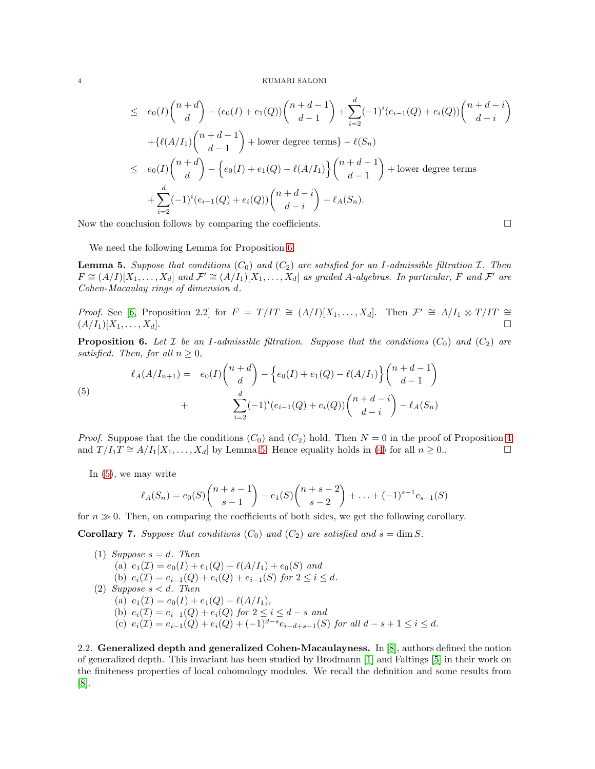$$
\leq e_0(I) \binom{n+d}{d} - (e_0(I) + e_1(Q)) \binom{n+d-1}{d-1} + \sum_{i=2}^d (-1)^i (e_{i-1}(Q) + e_i(Q)) \binom{n+d-i}{d-i} \n+ \{ \ell(A/I_1) \binom{n+d-1}{d-1} + \text{lower degree terms} \} - \ell(S_n) \n\leq e_0(I) \binom{n+d}{d} - \{ e_0(I) + e_1(Q) - \ell(A/I_1) \} \binom{n+d-1}{d-1} + \text{lower degree terms} \n+ \sum_{i=2}^d (-1)^i (e_{i-1}(Q) + e_i(Q)) \binom{n+d-i}{d-i} - \ell_A(S_n).
$$

Now the conclusion follows by comparing the coefficients.  $\Box$ 

We need the following Lemma for Proposition [6.](#page-3-1)

<span id="page-3-0"></span>**Lemma 5.** Suppose that conditions  $(C_0)$  and  $(C_2)$  are satisfied for an I-admissible filtration  $\mathcal I$ . Then  $F \cong (A/I)[X_1, \ldots, X_d]$  and  $\mathcal{F}' \cong (A/I_1)[X_1, \ldots, X_d]$  as graded A-algebras. In particular, F and  $\mathcal{F}'$  are *Cohen-Macaulay rings of dimension* d*.*

*Proof.* See [\[6,](#page-17-5) Proposition 2.2] for  $F = T/IT \cong (A/I)[X_1, ..., X_d]$ . Then  $\mathcal{F}' \cong A/I_1 \otimes T/IT \cong$  $(A/I_1)[X_1, \ldots, X_d].$ 

<span id="page-3-1"></span>**Proposition 6.** Let  $\mathcal I$  be an I-admissible filtration. Suppose that the conditions  $(C_0)$  and  $(C_2)$  are *satisfied. Then, for all*  $n \geq 0$ ,

<span id="page-3-2"></span>(5) 
$$
\ell_A(A/I_{n+1}) = e_0(I) \binom{n+d}{d} - \left\{ e_0(I) + e_1(Q) - \ell(A/I_1) \right\} \binom{n+d-1}{d-1} + \frac{\sum_{i=2}^d (-1)^i (e_{i-1}(Q) + e_i(Q)) \binom{n+d-i}{d-i} - \ell_A(S_n)}{1 - i}
$$

*Proof.* Suppose that the the conditions  $(C_0)$  and  $(C_2)$  hold. Then  $N = 0$  in the proof of Proposition [4](#page-2-0) and  $T/I_1T \cong A/I_1[X_1,\ldots,X_d]$  by Lemma [5.](#page-3-0) Hence equality holds in [\(4\)](#page-2-1) for all  $n \ge 0$ .

In [\(5\)](#page-3-2), we may write

$$
\ell_A(S_n) = e_0(S) \binom{n+s-1}{s-1} - e_1(S) \binom{n+s-2}{s-2} + \ldots + (-1)^{s-1} e_{s-1}(S)
$$

for  $n \gg 0$ . Then, on comparing the coefficients of both sides, we get the following corollary.

<span id="page-3-3"></span>Corollary 7. *Suppose that conditions*  $(C_0)$  *and*  $(C_2)$  *are satisfied and*  $s = \dim S$ *.* 

\n- (1) Suppose 
$$
s = d
$$
. Then\n
	\n- (a)  $e_1(\mathcal{I}) = e_0(I) + e_1(Q) - \ell(A/I_1) + e_0(S)$  and
	\n- (b)  $e_i(\mathcal{I}) = e_{i-1}(Q) + e_i(Q) + e_{i-1}(S)$  for  $2 \leq i \leq d$ .
	\n\n
\n- (2) Suppose  $s < d$ . Then\n
	\n- (a)  $e_1(\mathcal{I}) = e_0(I) + e_1(Q) - \ell(A/I_1)$ ,
	\n- (b)  $e_i(\mathcal{I}) = e_{i-1}(Q) + e_i(Q)$  for  $2 \leq i \leq d - s$  and
	\n- (c)  $e_i(\mathcal{I}) = e_{i-1}(Q) + e_i(Q) + (-1)^{d-s}e_{i-d+s-1}(S)$  for all  $d - s + 1 \leq i \leq d$ .
	\n\n
\n

2.2. Generalized depth and generalized Cohen-Macaulayness. In [\[8\]](#page-17-7), authors defined the notion of generalized depth. This invariant has been studied by Brodmann [\[1\]](#page-16-1) and Faltings [\[5\]](#page-17-8) in their work on the finiteness properties of local cohomology modules. We recall the definition and some results from [\[8\]](#page-17-7).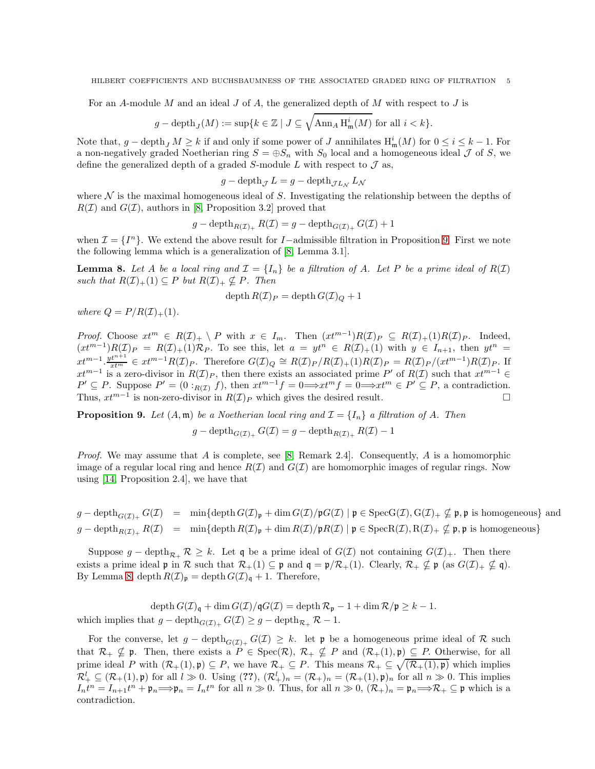For an A-module M and an ideal J of A, the generalized depth of M with respect to J is

$$
g - \mathrm{depth}_J(M) := \sup \{ k \in \mathbb{Z} \mid J \subseteq \sqrt{\mathrm{Ann}_A \operatorname{H}^i_{\mathfrak{m}}(M)} \text{ for all } i < k \}.
$$

Note that,  $g - \text{depth}_j M \geq k$  if and only if some power of J annihilates  $H^i_{\mathfrak{m}}(M)$  for  $0 \leq i \leq k-1$ . For a non-negatively graded Noetherian ring  $S = \bigoplus S_n$  with  $S_0$  local and a homogeneous ideal  $\mathcal J$  of S, we define the generalized depth of a graded S-module  $L$  with respect to  $\mathcal J$  as,

$$
g - \operatorname{depth}_{\mathcal{J}} L = g - \operatorname{depth}_{\mathcal{J}L_{\mathcal{N}}} L_{\mathcal{N}}
$$

where  $\mathcal N$  is the maximal homogeneous ideal of  $S$ . Investigating the relationship between the depths of  $R(\mathcal{I})$  and  $G(\mathcal{I})$ , authors in [\[8,](#page-17-7) Proposition 3.2] proved that

$$
g - \operatorname{depth}_{R(\mathcal{I})_+} R(\mathcal{I}) = g - \operatorname{depth}_{G(\mathcal{I})_+} G(\mathcal{I}) + 1
$$

when  $\mathcal{I} = \{I^n\}$ . We extend the above result for I-admissible filtration in Proposition [9.](#page-4-0) First we note the following lemma which is a generalization of [\[8,](#page-17-7) Lemma 3.1].

<span id="page-4-1"></span>**Lemma 8.** Let A be a local ring and  $\mathcal{I} = \{I_n\}$  be a filtration of A. Let P be a prime ideal of  $R(\mathcal{I})$ *such that*  $R(\mathcal{I})_+(1) \subseteq P$  *but*  $R(\mathcal{I})_+ \nsubseteq P$ *. Then* 

$$
\operatorname{depth} R(\mathcal{I})_P = \operatorname{depth} G(\mathcal{I})_Q + 1
$$

*where*  $Q = P/R(\mathcal{I})_+(1)$ *.* 

*Proof.* Choose  $xt^m \in R(\mathcal{I})_+ \setminus P$  with  $x \in I_m$ . Then  $(xt^{m-1})R(\mathcal{I})_P \subseteq R(\mathcal{I})_+(1)R(\mathcal{I})_P$ . Indeed,  $(xt^{m-1})R(\mathcal{I})_P = R(\mathcal{I})_+(1)\mathcal{R}_P$ . To see this, let  $a = yt^n \in R(\mathcal{I})_+(1)$  with  $y \in I_{n+1}$ , then  $yt^n =$  $xt^{m-1} \cdot \frac{yt^{m+1}}{xt^m} \in xt^{m-1}R(\mathcal{I})_P$ . Therefore  $G(\mathcal{I})_Q \cong R(\mathcal{I})_P/R(\mathcal{I})_+(1)R(\mathcal{I})_P = R(\mathcal{I})_P/(xt^{m-1})R(\mathcal{I})_P$ . If  $xt^{m-1}$  is a zero-divisor in  $R(\mathcal{I})_P$ , then there exists an associated prime P' of  $R(\mathcal{I})$  such that  $xt^{m-1} \in$  $P' \subseteq P$ . Suppose  $P' = (0 :_{R(\mathcal{I})} f)$ , then  $xt^{m-1}f = 0 \Longrightarrow xt^mf = 0 \Longrightarrow xt^m \in P' \subseteq P$ , a contradiction. Thus,  $xt^{m-1}$  is non-zero-divisor in  $R(\mathcal{I})_P$  which gives the desired result.  $\Box$ 

<span id="page-4-0"></span>**Proposition 9.** Let  $(A, \mathfrak{m})$  be a Noetherian local ring and  $\mathcal{I} = \{I_n\}$  a filtration of A. Then

$$
g - \operatorname{depth}_{G(\mathcal{I})_+} G(\mathcal{I}) = g - \operatorname{depth}_{R(\mathcal{I})_+} R(\mathcal{I}) - 1
$$

*Proof.* We may assume that A is complete, see [\[8,](#page-17-7) Remark 2.4]. Consequently, A is a homomorphic image of a regular local ring and hence  $R(\mathcal{I})$  and  $G(\mathcal{I})$  are homomorphic images of regular rings. Now using [\[14,](#page-17-9) Proposition 2.4], we have that

 $g - \text{depth}_{G(\mathcal{I})_+} G(\mathcal{I}) = \min{\{\text{depth}\, G(\mathcal{I})_p + \dim G(\mathcal{I})/p\}\}\$ and  $g - \text{depth}\, G(\mathcal{I})_+ \neq \emptyset$ , p is homogeneous} and  $g - \text{depth}_{R(\mathcal{I})_+} R(\mathcal{I}) = \min{\{\text{depth } R(\mathcal{I})_p + \dim R(\mathcal{I})/pR(\mathcal{I}) \mid p \in \text{Spec} R(\mathcal{I}), R(\mathcal{I})_+ \nsubseteq p, p \text{ is homogeneous}\}}$ 

Suppose  $g - \text{depth}_{\mathcal{R}_+} \mathcal{R} \geq k$ . Let q be a prime ideal of  $G(\mathcal{I})$  not containing  $G(\mathcal{I})_+$ . Then there exists a prime ideal  $\mathfrak{p}$  in  $\mathcal R$  such that  $\mathcal R_+(1) \subseteq \mathfrak{p}$  and  $\mathfrak{q} = \mathfrak{p}/\mathcal R_+(1)$ . Clearly,  $\mathcal R_+ \nsubseteq \mathfrak{p}$  (as  $G(\mathcal I)_+ \nsubseteq \mathfrak{q}$ ). By Lemma [8,](#page-4-1) depth  $R(\mathcal{I})_{\mathfrak{p}} = \operatorname{depth} G(\mathcal{I})_{\mathfrak{q}} + 1$ . Therefore,

depth  $G(\mathcal{I})_{\mathfrak{q}} + \dim G(\mathcal{I})/\mathfrak{q}G(\mathcal{I}) = \operatorname{depth} \mathcal{R}_{\mathfrak{p}} - 1 + \dim \mathcal{R}/\mathfrak{p} \geq k - 1.$ which implies that  $g - \operatorname{depth}_{G(\mathcal{I})_+} G(\mathcal{I}) \geq g - \operatorname{depth}_{\mathcal{R}_+} \mathcal{R} - 1.$ 

For the converse, let  $g - \text{depth}_{G(\mathcal{I})_+} G(\mathcal{I}) \geq k$ . let p be a homogeneous prime ideal of R such that  $\mathcal{R}_+ \nsubseteq \mathfrak{p}$ . Then, there exists a  $P \in \text{Spec}(\mathcal{R}), \mathcal{R}_+ \nsubseteq P$  and  $(\mathcal{R}_+(1), \mathfrak{p}) \subseteq P$ . Otherwise, for all prime ideal P with  $(\mathcal{R}_+(1), \mathfrak{p}) \subseteq P$ , we have  $\mathcal{R}_+ \subseteq P$ . This means  $\mathcal{R}_+ \subseteq \sqrt{(\mathcal{R}_+(1), \mathfrak{p})}$  which implies  $\mathcal{R}_+^l \subseteq (\mathcal{R}_+(1), \mathfrak{p})$  for all  $l \gg 0$ . Using  $(??)$ ,  $(\mathcal{R}_+^l)_n = (\mathcal{R}_+)_n = (\mathcal{R}_+(1), \mathfrak{p})_n$  for all  $n \gg 0$ . This implies  $I_n t^n = I_{n+1} t^n + \mathfrak{p}_n \Longrightarrow \mathfrak{p}_n = I_n t^n$  for all  $n \gg 0$ . Thus, for all  $n \gg 0$ ,  $(\mathcal{R}_+)_n = \mathfrak{p}_n \Longrightarrow \mathcal{R}_+ \subseteq \mathfrak{p}$  which is a contradiction.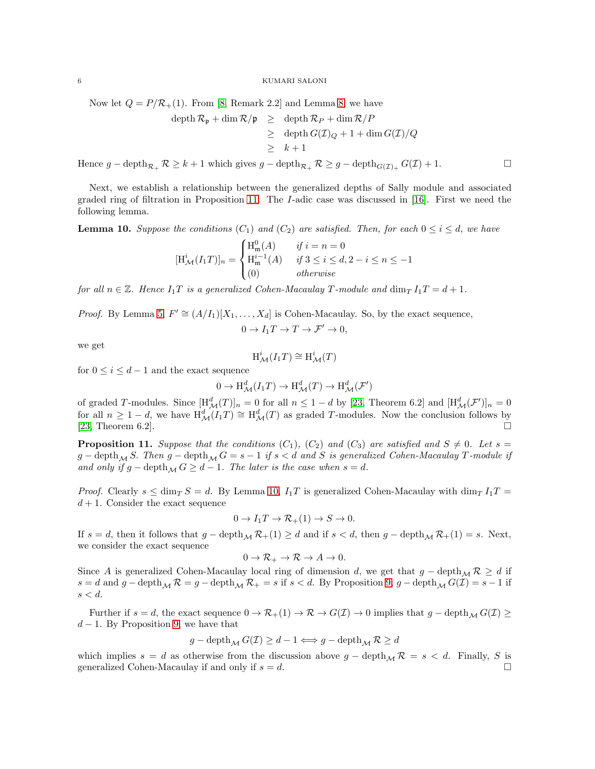Now let  $Q = P/R_+(1)$ . From [\[8,](#page-17-7) Remark 2.2] and Lemma [8,](#page-4-1) we have

$$
\begin{array}{rcl}\n\operatorname{depth} \mathcal{R}_{\mathfrak{p}} + \dim \mathcal{R}/\mathfrak{p} & \geq & \operatorname{depth} \mathcal{R}_{P} + \dim \mathcal{R}/P \\
& \geq & \operatorname{depth} G(\mathcal{I})_Q + 1 + \dim G(\mathcal{I})/Q \\
& \geq & k + 1\n\end{array}
$$

Hence  $g - \text{depth}_{\mathcal{R}_+} \mathcal{R} \geq k+1$  which gives  $g - \text{depth}_{\mathcal{R}_+} \mathcal{R} \geq g - \text{depth}_{G(\mathcal{I})_+} G(\mathcal{I}) + 1.$ 

Next, we establish a relationship between the generalized depths of Sally module and associated graded ring of filtration in Proposition [11.](#page-5-0) The I-adic case was discussed in [\[16\]](#page-17-4). First we need the following lemma.

<span id="page-5-1"></span>**Lemma 10.** Suppose the conditions  $(C_1)$  and  $(C_2)$  are satisfied. Then, for each  $0 \le i \le d$ , we have

$$
[\mathbf{H}_{\mathcal{M}}^{i}(I_{1}T)]_{n} = \begin{cases} \mathbf{H}_{\mathfrak{m}}^{0}(A) & \text{if } i = n = 0\\ \mathbf{H}_{\mathfrak{m}}^{i-1}(A) & \text{if } 3 \leq i \leq d, 2 - i \leq n \leq -1\\ (0) & \text{otherwise} \end{cases}
$$

*for all*  $n \in \mathbb{Z}$ *. Hence*  $I_1T$  *is a generalized Cohen-Macaulay* T-module and dim<sub>T</sub>  $I_1T = d + 1$ *.* 

*Proof.* By Lemma [5,](#page-3-0)  $F' \cong (A/I_1)[X_1, \ldots, X_d]$  is Cohen-Macaulay. So, by the exact sequence,

$$
0 \to I_1 T \to T \to \mathcal{F}' \to 0,
$$

we get

$$
\mathrm{H}^i_\mathcal{M}(I_1T)\cong \mathrm{H}^i_\mathcal{M}(T)
$$

for  $0 \leq i \leq d-1$  and the exact sequence

$$
0 \to \mathrm{H}^d_{\mathcal{M}}(I_1T) \to \mathrm{H}^d_{\mathcal{M}}(T) \to \mathrm{H}^d_{\mathcal{M}}(\mathcal{F}')
$$

of graded T-modules. Since  $[\text{H}_{\mathcal{M}}^d(T)]_n = 0$  for all  $n \leq 1 - d$  by [\[23,](#page-17-10) Theorem 6.2] and  $[\text{H}_{\mathcal{M}}^d(\mathcal{F}')]_n = 0$ for all  $n \geq 1-d$ , we have  $H_{\mathcal{M}}^d(I_1T) \cong H_{\mathcal{M}}^d(T)$  as graded T-modules. Now the conclusion follows by [\[23,](#page-17-10) Theorem 6.2].

<span id="page-5-0"></span>**Proposition 11.** *Suppose that the conditions*  $(C_1)$ *,*  $(C_2)$  *and*  $(C_3)$  *are satisfied and*  $S \neq 0$ *. Let*  $s =$  $g - \text{depth}_{\mathcal{M}} S$ . Then  $g - \text{depth}_{\mathcal{M}} G = s - 1$  if  $s < d$  and S is generalized Cohen-Macaulay T-module if *and only if*  $g$  − depth<sub>M</sub>  $G \geq d - 1$ *. The later is the case when*  $s = d$ *.* 

*Proof.* Clearly  $s \le \dim_T S = d$ . By Lemma [10,](#page-5-1)  $I_1T$  is generalized Cohen-Macaulay with  $\dim_T I_1T =$  $d+1$ . Consider the exact sequence

$$
0 \to I_1 T \to \mathcal{R}_+(1) \to S \to 0.
$$

If  $s = d$ , then it follows that  $g - \text{depth}_{\mathcal{M}} \mathcal{R}_+(1) \geq d$  and if  $s < d$ , then  $g - \text{depth}_{\mathcal{M}} \mathcal{R}_+(1) = s$ . Next, we consider the exact sequence

$$
0 \to \mathcal{R}_+ \to \mathcal{R} \to A \to 0.
$$

Since A is generalized Cohen-Macaulay local ring of dimension d, we get that  $g - \text{depth}_{\mathcal{M}} \mathcal{R} \geq d$  if  $s = d$  and  $g - \text{depth}_{\mathcal{M}} \mathcal{R} = g - \text{depth}_{\mathcal{M}} \mathcal{R}_+ = s$  if  $s < d$ . By Proposition [9,](#page-4-0)  $g - \text{depth}_{\mathcal{M}} G(\mathcal{I}) = s - 1$  if  $s < d$ .

Further if  $s = d$ , the exact sequence  $0 \to \mathcal{R}_+(1) \to \mathcal{R} \to G(\mathcal{I}) \to 0$  implies that  $g - \text{depth}_{\mathcal{M}} G(\mathcal{I}) \ge$  $d-1$ . By Proposition [9,](#page-4-0) we have that

$$
g - \operatorname{depth}_{\mathcal{M}} G(\mathcal{I}) \geq d-1 \Longleftrightarrow g - \operatorname{depth}_{\mathcal{M}} \mathcal{R} \geq d
$$

which implies  $s = d$  as otherwise from the discussion above  $g - \text{depth}_{\mathcal{M}} \mathcal{R} = s < d$ . Finally, S is generalized Cohen-Macaulay if and only if  $s = d$ .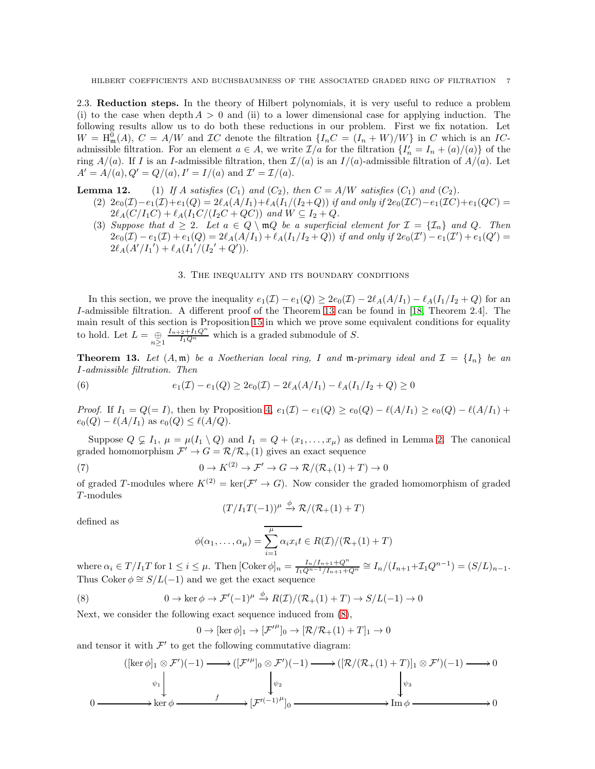2.3. Reduction steps. In the theory of Hilbert polynomials, it is very useful to reduce a problem (i) to the case when depth  $A > 0$  and (ii) to a lower dimensional case for applying induction. The following results allow us to do both these reductions in our problem. First we fix notation. Let  $W = H_{\mathfrak{m}}^{0}(A), C = A/W$  and  $TC$  denote the filtration  $\{I_nC = (I_n + W)/W\}$  in C which is an ICadmissible filtration. For an element  $a \in A$ , we write  $\mathcal{I}/a$  for the filtration  $\{I'_n = I_n + (a)/(a)\}$  of the ring  $A/(a)$ . If I is an I-admissible filtration, then  $\mathcal{I}/(a)$  is an  $I/(a)$ -admissible filtration of  $A/(a)$ . Let  $A' = A/(a), Q' = Q/(a), I' = I/(a) \text{ and } \mathcal{I}' = \mathcal{I}/(a).$ 

<span id="page-6-4"></span>**Lemma 12.** (1) If A satisfies  $(C_1)$  and  $(C_2)$ , then  $C = A/W$  satisfies  $(C_1)$  and  $(C_2)$ .

(2)  $2e_0(\mathcal{I})-e_1(\mathcal{I})+e_1(Q)=2\ell_A(A/I_1)+\ell_A(I_1/(I_2+Q))$  *if and only if*  $2e_0(\mathcal{I}C)-e_1(\mathcal{I}C)+e_1(QC)=$  $2\ell_A(C/I_1C) + \ell_A(I_1C/(I_2C + QC))$  and  $W \subseteq I_2 + Q$ .

(3) Suppose that  $d \geq 2$ . Let  $a \in Q \setminus \mathfrak{m}Q$  be a superficial element for  $\mathcal{I} = {\mathcal{I}_n}$  and Q. Then  $2e_0(\mathcal{I}) - e_1(\mathcal{I}) + e_1(Q) = 2\ell_A(A/I_1) + \ell_A(I_1/I_2 + Q)$  *if and only if*  $2e_0(\mathcal{I}') - e_1(\mathcal{I}') + e_1(Q') =$  $2\ell_A(A'/I_1')+\ell_A(I_1'/(I_2'+Q')).$ 

### <span id="page-6-3"></span>3. The inequality and its boundary conditions

In this section, we prove the inequality  $e_1(\mathcal{I}) - e_1(Q) \geq 2e_0(\mathcal{I}) - 2\ell_A(A/I_1) - \ell_A(I_1/I_2 + Q)$  for an I-admissible filtration. A different proof of the Theorem [13](#page-6-0) can be found in [\[18,](#page-17-0) Theorem 2.4]. The main result of this section is Proposition [15](#page-8-0) in which we prove some equivalent conditions for equality to hold. Let  $L = \bigoplus_{n \geq 1}$  $\frac{I_{n+2}+I_1Q^n}{I_1Q^n}$  which is a graded submodule of S.

<span id="page-6-0"></span>**Theorem 13.** Let  $(A, \mathfrak{m})$  be a Noetherian local ring, I and  $\mathfrak{m}$ -primary ideal and  $\mathcal{I} = \{I_n\}$  be an I*-admissible filtration. Then*

(6) 
$$
e_1(\mathcal{I}) - e_1(Q) \geq 2e_0(\mathcal{I}) - 2\ell_A(A/I_1) - \ell_A(I_1/I_2 + Q) \geq 0
$$

*Proof.* If  $I_1 = Q(=I)$ , then by Proposition [4,](#page-2-0)  $e_1(\mathcal{I}) - e_1(Q) \geq e_0(Q) - \ell(A/I_1) \geq e_0(Q) - \ell(A/I_1) + \ell(A/I_1)$  $e_0(Q) - \ell(A/I_1)$  as  $e_0(Q) \leq \ell(A/Q)$ .

Suppose  $Q \subsetneq I_1$ ,  $\mu = \mu(I_1 \setminus Q)$  and  $I_1 = Q + (x_1, \ldots, x_{\mu})$  as defined in Lemma [2.](#page-2-2) The canonical graded homomorphism  $\mathcal{F}' \to G = \mathcal{R}/\mathcal{R}_+(1)$  gives an exact sequence

(7) 
$$
0 \to K^{(2)} \to \mathcal{F}' \to G \to \mathcal{R}/(\mathcal{R}_+(1) + T) \to 0
$$

of graded T-modules where  $K^{(2)} = \text{ker}(\mathcal{F}' \to G)$ . Now consider the graded homomorphism of graded  $T$ -modules

<span id="page-6-2"></span><span id="page-6-1"></span>
$$
(T/I_1T(-1))^{\mu} \xrightarrow{\phi} \mathcal{R}/(\mathcal{R}_+(1)+T)
$$

defined as

$$
\phi(\alpha_1,\ldots,\alpha_\mu) = \sum_{i=1}^{\mu} \alpha_i x_i t \in R(\mathcal{I})/(\mathcal{R}_+(1)+T)
$$

where  $\alpha_i \in T/I_1T$  for  $1 \leq i \leq \mu$ . Then  $[\text{Coker }\phi]_n = \frac{I_n/I_{n+1}+Q^n}{I_1Q^{n-1}/I_{n+1}+1}$  $\frac{I_n/I_{n+1}+Q^n}{I_1Q^{n-1}/I_{n+1}+Q^n} \cong I_n/(I_{n+1}+{\mathcal I}_1Q^{n-1}) = (S/L)_{n-1}.$ Thus Coker  $\phi \cong S/L(-1)$  and we get the exact sequence

(8) 
$$
0 \to \ker \phi \to \mathcal{F}'(-1)^{\mu} \stackrel{\phi}{\to} R(\mathcal{I})/(\mathcal{R}_+(1) + T) \to S/L(-1) \to 0
$$

Next, we consider the following exact sequence induced from [\(8\)](#page-6-1),

$$
0 \to [\ker \phi]_1 \to [\mathcal{F}'^{\mu}]_0 \to [\mathcal{R}/\mathcal{R}_+(1) + T]_1 \to 0
$$

and tensor it with  $\mathcal{F}'$  to get the following commutative diagram:

$$
(\left[\ker \phi\right]_1 \otimes \mathcal{F}')(-1) \longrightarrow \left([\mathcal{F}'^{\mu}]_0 \otimes \mathcal{F}')(-1) \longrightarrow \left([\mathcal{R}/(\mathcal{R}_+(1) + T)]_1 \otimes \mathcal{F}')(-1) \longrightarrow 0
$$
  
\n
$$
\downarrow_{\psi_1}
$$
\n
$$
0 \longrightarrow \ker \phi \longrightarrow f \longrightarrow [\mathcal{F}'^{(-1)^{\mu}}]_0 \longrightarrow f \longrightarrow \operatorname{Im} \phi \longrightarrow 0
$$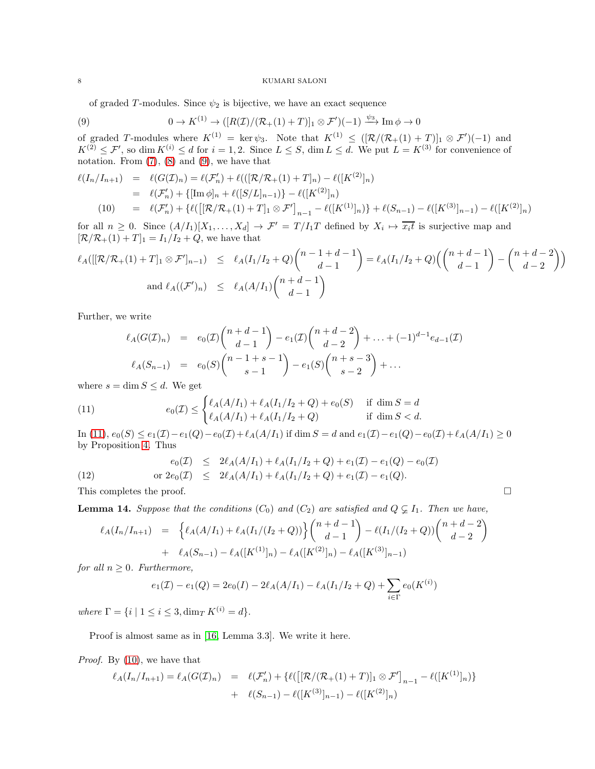<span id="page-7-0"></span>of graded T-modules. Since  $\psi_2$  is bijective, we have an exact sequence

(9) 
$$
0 \to K^{(1)} \to ([R(\mathcal{I})/(\mathcal{R}_+(1)+T)]_1 \otimes \mathcal{F}')(-1) \xrightarrow{\psi_3} \text{Im } \phi \to 0
$$

of graded T-modules where  $K^{(1)} = \ker \psi_3$ . Note that  $K^{(1)} \leq ([\mathcal{R}/(\mathcal{R}_+(1)+T)]_1 \otimes \mathcal{F}')(-1)$  and  $K^{(2)} \n\t\leq \mathcal{F}'$ , so dim  $K^{(i)} \leq d$  for  $i = 1, 2$ . Since  $L \leq S$ , dim  $L \leq d$ . We put  $L = K^{(3)}$  for convenience of notation. From  $(7)$ ,  $(8)$  and  $(9)$ , we have that

<span id="page-7-2"></span>
$$
\ell(I_n/I_{n+1}) = \ell(G(\mathcal{I})_n) = \ell(\mathcal{F}'_n) + \ell(([\mathcal{R}/\mathcal{R}_+(1) + T]_n) - \ell([K^{(2)}]_n)
$$
  
\n
$$
= \ell(\mathcal{F}'_n) + \{[\text{Im }\phi]_n + \ell([S/L]_{n-1})\} - \ell([K^{(2)}]_n)
$$
  
\n(10) =  $\ell(\mathcal{F}'_n) + \{\ell([\mathcal{R}/\mathcal{R}_+(1) + T]_1 \otimes \mathcal{F}'\]_{n-1} - \ell([K^{(1)}]_n)\} + \ell(S_{n-1}) - \ell([K^{(3)}]_{n-1}) - \ell([K^{(2)}]_n)$ 

for all  $n \geq 0$ . Since  $(A/I_1)[X_1,\ldots,X_d] \to \mathcal{F}' = T/I_1T$  defined by  $X_i \mapsto \overline{x_i t}$  is surjective map and  $[\mathcal{R}/\mathcal{R}_+(1) + T]_1 = I_1/I_2 + Q$ , we have that

$$
\ell_A([[R/R_+(1) + T]_1 \otimes \mathcal{F}']_{n-1}) \leq \ell_A(I_1/I_2 + Q) \binom{n-1+d-1}{d-1} = \ell_A(I_1/I_2 + Q) \binom{n+d-1}{d-1} - \binom{n+d-2}{d-2}
$$
  
and  $\ell_A((\mathcal{F}')_n) \leq \ell_A(A/I_1) \binom{n+d-1}{d-1}$ 

Further, we write

<span id="page-7-1"></span>
$$
\ell_A(G(\mathcal{I})_n) = e_0(\mathcal{I}) \binom{n+d-1}{d-1} - e_1(\mathcal{I}) \binom{n+d-2}{d-2} + \ldots + (-1)^{d-1} e_{d-1}(\mathcal{I})
$$
  

$$
\ell_A(S_{n-1}) = e_0(S) \binom{n-1+s-1}{s-1} - e_1(S) \binom{n+s-3}{s-2} + \ldots
$$

where  $s = \dim S \leq d$ . We get

(11) 
$$
e_0(\mathcal{I}) \leq \begin{cases} \ell_A(A/I_1) + \ell_A(I_1/I_2 + Q) + e_0(S) & \text{if } \dim S = d \\ \ell_A(A/I_1) + \ell_A(I_1/I_2 + Q) & \text{if } \dim S < d. \end{cases}
$$

In [\(11\)](#page-7-1),  $e_0(S) \le e_1(\mathcal{I}) - e_1(Q) - e_0(\mathcal{I}) + \ell_A(A/I_1)$  if dim  $S = d$  and  $e_1(\mathcal{I}) - e_1(Q) - e_0(\mathcal{I}) + \ell_A(A/I_1) \ge 0$ by Proposition [4.](#page-2-0) Thus

(12) 
$$
e_0(\mathcal{I}) \leq 2\ell_A(A/I_1) + \ell_A(I_1/I_2 + Q) + e_1(\mathcal{I}) - e_1(Q) - e_0(\mathcal{I})
$$

$$
or 2e_0(\mathcal{I}) \leq 2\ell_A(A/I_1) + \ell_A(I_1/I_2 + Q) + e_1(\mathcal{I}) - e_1(Q).
$$

This completes the proof.  $\Box$ 

<span id="page-7-3"></span>**Lemma 14.** Suppose that the conditions  $(C_0)$  and  $(C_2)$  are satisfied and  $Q \subsetneq I_1$ . Then we have,

$$
\ell_A(I_n/I_{n+1}) = \left\{ \ell_A(A/I_1) + \ell_A(I_1/(I_2+Q)) \right\} \binom{n+d-1}{d-1} - \ell(I_1/(I_2+Q)) \binom{n+d-2}{d-2} + \ell_A(S_{n-1}) - \ell_A([K^{(1)}]_n) - \ell_A([K^{(2)}]_n) - \ell_A([K^{(3)}]_{n-1})
$$

*for all*  $n \geq 0$ *. Furthermore,* 

$$
e_1(\mathcal{I}) - e_1(Q) = 2e_0(I) - 2\ell_A(A/I_1) - \ell_A(I_1/I_2 + Q) + \sum_{i \in \Gamma} e_0(K^{(i)})
$$

*where*  $\Gamma = \{i \mid 1 \le i \le 3, \dim_T K^{(i)} = d\}.$ 

Proof is almost same as in [\[16,](#page-17-4) Lemma 3.3]. We write it here.

*Proof.* By [\(10\)](#page-7-2), we have that

$$
\ell_A(I_n/I_{n+1}) = \ell_A(G(\mathcal{I})_n) = \ell(\mathcal{F}'_n) + \{\ell([\mathcal{R}/(\mathcal{R}_+(1)+T)]_1 \otimes \mathcal{F}']_{n-1} - \ell([K^{(1)}]_n)\} + \ell(S_{n-1}) - \ell([K^{(3)}]_{n-1}) - \ell([K^{(2)}]_n)
$$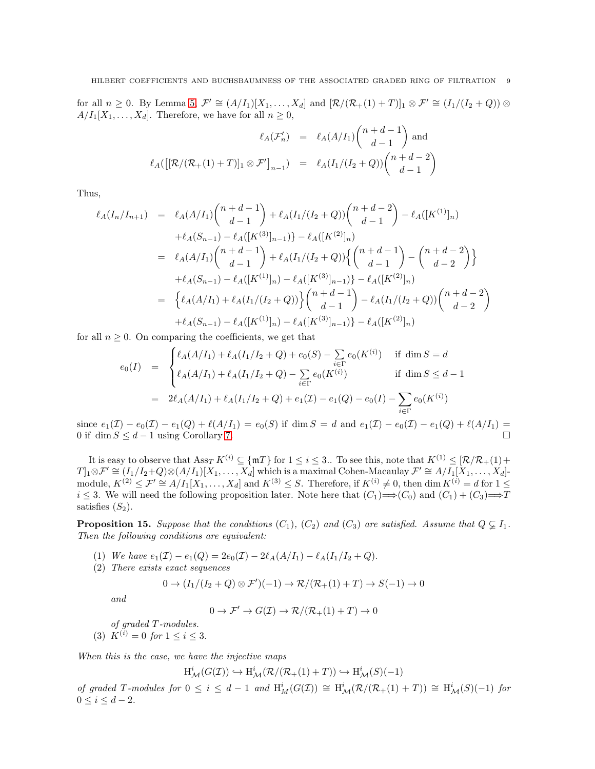for all  $n \geq 0$ . By Lemma [5,](#page-3-0)  $\mathcal{F}' \cong (A/I_1)[X_1,\ldots,X_d]$  and  $[\mathcal{R}/(\mathcal{R}_+(1)+T)]_1 \otimes \mathcal{F}' \cong (I_1/(I_2+Q)) \otimes$  $A/I_1[X_1,\ldots,X_d]$ . Therefore, we have for all  $n \geq 0$ ,

$$
\ell_A(\mathcal{F}'_n) = \ell_A(A/I_1) \binom{n+d-1}{d-1} \text{ and}
$$

$$
\ell_A([\mathcal{R}/(\mathcal{R}_+(1)+T)]_1 \otimes \mathcal{F}']_{n-1}) = \ell_A(I_1/(I_2+Q)) \binom{n+d-2}{d-1}
$$

Thus,

$$
\ell_A(I_n/I_{n+1}) = \ell_A(A/I_1) \binom{n+d-1}{d-1} + \ell_A(I_1/(I_2+Q)) \binom{n+d-2}{d-1} - \ell_A([K^{(1)}]_n)
$$
  
+ 
$$
\ell_A(S_{n-1}) - \ell_A([K^{(3)}]_{n-1}) - \ell_A([K^{(2)}]_n)
$$
  
= 
$$
\ell_A(A/I_1) \binom{n+d-1}{d-1} + \ell_A(I_1/(I_2+Q)) \left\{ \binom{n+d-1}{d-1} - \binom{n+d-2}{d-2} \right\}
$$
  
+ 
$$
\ell_A(S_{n-1}) - \ell_A([K^{(1)}]_n) - \ell_A([K^{(3)}]_{n-1}) - \ell_A([K^{(2)}]_n)
$$
  
= 
$$
\left\{ \ell_A(A/I_1) + \ell_A(I_1/(I_2+Q)) \right\} \binom{n+d-1}{d-1} - \ell_A(I_1/(I_2+Q)) \binom{n+d-2}{d-2} + \ell_A(S_{n-1}) - \ell_A([K^{(1)}]_n) - \ell_A([K^{(3)}]_{n-1}) - \ell_A([K^{(2)}]_n)
$$

for all  $n \geq 0$ . On comparing the coefficients, we get that

$$
e_0(I) = \begin{cases} \ell_A(A/I_1) + \ell_A(I_1/I_2 + Q) + e_0(S) - \sum_{i \in \Gamma} e_0(K^{(i)}) & \text{if } \dim S = d \\ \ell_A(A/I_1) + \ell_A(I_1/I_2 + Q) - \sum_{i \in \Gamma} e_0(K^{(i)}) & \text{if } \dim S \leq d - 1 \\ = 2\ell_A(A/I_1) + \ell_A(I_1/I_2 + Q) + e_1(\mathcal{I}) - e_1(Q) - e_0(I) - \sum_{i \in \Gamma} e_0(K^{(i)}) \end{cases}
$$

since  $e_1(\mathcal{I}) - e_0(\mathcal{I}) - e_1(Q) + \ell(A/I_1) = e_0(S)$  if dim  $S = d$  and  $e_1(\mathcal{I}) - e_0(\mathcal{I}) - e_1(Q) + \ell(A/I_1) =$ 0 if  $\dim S \leq d-1$  using Corollary [7.](#page-3-3)

It is easy to observe that  $\text{Ass}_{T} K^{(i)} \subseteq \{\text{m}T\}$  for  $1 \leq i \leq 3$ . To see this, note that  $K^{(1)} \leq [\mathcal{R}/\mathcal{R}_+(1)+$  $T|_1\otimes \mathcal{F}' \cong (I_1/I_2+Q) \otimes (A/I_1)[X_1,\ldots,X_d]$  which is a maximal Cohen-Macaulay  $\mathcal{F}' \cong A/I_1[X_1,\ldots,X_d]$ module,  $K^{(2)} \n\t\leq \mathcal{F}' \n\t\cong A/I_1[X_1,\ldots,X_d]$  and  $K^{(3)} \leq S$ . Therefore, if  $K^{(i)} \neq 0$ , then dim  $K^{(i)} = d$  for  $1 \leq$  $i \leq 3$ . We will need the following proposition later. Note here that  $(C_1) \implies (C_0)$  and  $(C_1) + (C_3) \implies T$ satisfies  $(S_2)$ .

<span id="page-8-0"></span>**Proposition 15.** Suppose that the conditions  $(C_1)$ ,  $(C_2)$  and  $(C_3)$  are satisfied. Assume that  $Q \subsetneq I_1$ . *Then the following conditions are equivalent:*

- <span id="page-8-3"></span><span id="page-8-1"></span>(1) *We have*  $e_1(\mathcal{I}) - e_1(Q) = 2e_0(\mathcal{I}) - 2\ell_A(A/I_1) - \ell_A(I_1/I_2 + Q)$ .
- (2) *There exists exact sequences*

$$
0 \to (I_1/(I_2 + Q) \otimes \mathcal{F}')(-1) \to \mathcal{R}/(\mathcal{R}_+(1) + T) \to S(-1) \to 0
$$

*and*

$$
0 \to \mathcal{F}' \to G(\mathcal{I}) \to \mathcal{R}/(\mathcal{R}_+(1) + T) \to 0
$$

*of graded* T *-modules.*

<span id="page-8-2"></span>(3)  $K^{(i)} = 0$  for  $1 \leq i \leq 3$ .

*When this is the case, we have the injective maps*

 $\mathrm{H}^i_\mathcal{M}(G(\mathcal{I})) \hookrightarrow \mathrm{H}^i_\mathcal{M}(\mathcal{R}/(\mathcal{R}_+(1)+T)) \hookrightarrow \mathrm{H}^i_\mathcal{M}(S)(-1)$ 

of graded T-modules for  $0 \le i \le d-1$  and  $\text{H}^i_M(G(\mathcal{I})) \cong \text{H}^i_M(\mathcal{R}/(\mathcal{R}_+(1)+T)) \cong \text{H}^i_M(S)(-1)$  for  $0 \le i \le d - 2$ .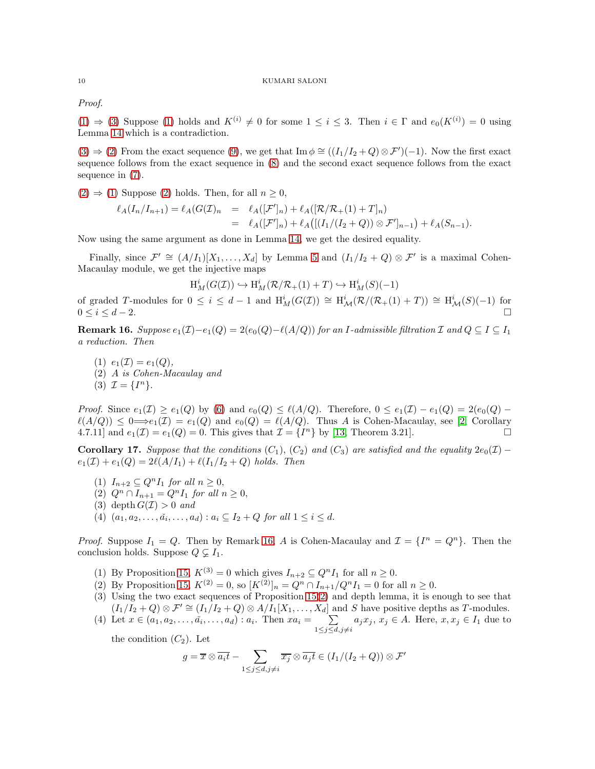*Proof.*

 $(1) \Rightarrow (3)$  $(1) \Rightarrow (3)$  $(1) \Rightarrow (3)$  Suppose  $(1)$  holds and  $K^{(i)} \neq 0$  for some  $1 \leq i \leq 3$ . Then  $i \in \Gamma$  and  $e_0(K^{(i)}) = 0$  using Lemma [14](#page-7-3) which is a contradiction.

 $(3) \Rightarrow (2)$  $(3) \Rightarrow (2)$  $(3) \Rightarrow (2)$  From the exact sequence  $(9)$ , we get that Im  $\phi \cong ((I_1/I_2+Q) \otimes \mathcal{F}')(-1)$ . Now the first exact sequence follows from the exact sequence in [\(8\)](#page-6-1) and the second exact sequence follows from the exact sequence in [\(7\)](#page-6-2).

 $(2) \Rightarrow (1)$  $(2) \Rightarrow (1)$  $(2) \Rightarrow (1)$  Suppose  $(2)$  holds. Then, for all  $n \geq 0$ ,

H

$$
\ell_A(I_n/I_{n+1}) = \ell_A(G(\mathcal{I})_n = \ell_A([\mathcal{F}']_n) + \ell_A([\mathcal{R}/\mathcal{R}_+(1) + T]_n)
$$
  
= 
$$
\ell_A([\mathcal{F}']_n) + \ell_A([\mathcal{I}_1/(I_2 + Q)) \otimes \mathcal{F}']_{n-1}) + \ell_A(S_{n-1}).
$$

Now using the same argument as done in Lemma [14,](#page-7-3) we get the desired equality.

Finally, since  $\mathcal{F}' \cong (A/I_1)[X_1,\ldots,X_d]$  by Lemma [5](#page-3-0) and  $(I_1/I_2+Q) \otimes \mathcal{F}'$  is a maximal Cohen-Macaulay module, we get the injective maps

$$
H_M^i(G(\mathcal{I})) \hookrightarrow H_M^i(\mathcal{R}/\mathcal{R}_+(1) + T) \hookrightarrow H_M^i(S)(-1)
$$

of graded T-modules for  $0 \le i \le d-1$  and  $H_M^i(G(\mathcal{I})) \cong H_\mathcal{M}^i(\mathcal{R}/(\mathcal{R}_+(1)+T)) \cong H_\mathcal{M}^i(S)(-1)$  for  $0 \leq i \leq d-2.$ 

<span id="page-9-0"></span>**Remark 16.** Suppose  $e_1(\mathcal{I})-e_1(Q) = 2(e_0(Q)-\ell(A/Q))$  for an I-admissible filtration  $\mathcal{I}$  and  $Q \subseteq I \subseteq I_1$ *a reduction. Then*

(1)  $e_1(\mathcal{I}) = e_1(Q)$ , (2) A *is Cohen-Macaulay and* (3)  $\mathcal{I} = \{I^n\}.$ 

*Proof.* Since  $e_1(\mathcal{I}) \ge e_1(Q)$  by [\(6\)](#page-6-3) and  $e_0(Q) \le \ell(A/Q)$ . Therefore,  $0 \le e_1(\mathcal{I}) - e_1(Q) = 2(e_0(Q) - e_1(Q))$  $\ell(A/Q) \leq 0 \Longrightarrow e_1(\mathcal{I}) = e_1(Q)$  and  $e_0(Q) = \ell(A/Q)$ . Thus A is Cohen-Macaulay, see [\[2,](#page-16-2) Corollary 4.7.11] and  $e_1(\mathcal{I}) = e_1(Q) = 0$ . This gives that  $\mathcal{I} = \{I^n\}$  by [\[13,](#page-17-11) Theorem 3.21].

<span id="page-9-1"></span>**Corollary 17.** *Suppose that the conditions*  $(C_1)$ ,  $(C_2)$  *and*  $(C_3)$  *are satisfied and the equality*  $2e_0(\mathcal{I})$  −  $e_1(\mathcal{I}) + e_1(Q) = 2\ell(A/I_1) + \ell(I_1/I_2 + Q)$  *holds. Then* 

- (1)  $I_{n+2} \subseteq Q^n I_1$  *for all*  $n \geq 0$ ,
- (2)  $Q^n \cap I_{n+1} = Q^n I_1$  *for all*  $n \geq 0$ ,
- (3) depth  $G(\mathcal{I}) > 0$  *and*
- $(4)$   $(a_1, a_2, \ldots, a_i, \ldots, a_d) : a_i \subseteq I_2 + Q$  *for all*  $1 \le i \le d$ .

*Proof.* Suppose  $I_1 = Q$ . Then by Remark [16,](#page-9-0) A is Cohen-Macaulay and  $\mathcal{I} = \{I^n = Q^n\}$ . Then the conclusion holds. Suppose  $Q \subsetneq I_1$ .

- (1) By Proposition [15,](#page-8-0)  $K^{(3)} = 0$  which gives  $I_{n+2} \subseteq Q^n I_1$  for all  $n \geq 0$ .
- (2) By Proposition [15,](#page-8-0)  $K^{(2)} = 0$ , so  $[K^{(2)}]_n = Q^n \cap I_{n+1}/Q^n I_1 = 0$  for all  $n \geq 0$ .
- (3) Using the two exact sequences of Proposition [15\(](#page-8-0)[2\)](#page-8-3) and depth lemma, it is enough to see that  $(I_1/I_2 + Q) \otimes \mathcal{F}' \cong (I_1/I_2 + Q) \otimes A/I_1[X_1, \ldots, X_d]$  and S have positive depths as T-modules.
- (4) Let  $x \in (a_1, a_2, \ldots, a_i, \ldots, a_d) : a_i$ . Then  $xa_i = \sum$  $\sum_{1 \leq j \leq d, j \neq i} a_j x_j, x_j \in A$ . Here,  $x, x_j \in I_1$  due to

the condition  $(C_2)$ . Let

$$
g = \overline{x} \otimes \overline{a_i t} - \sum_{1 \leq j \leq d, j \neq i} \overline{x_j} \otimes \overline{a_j t} \in (I_1/(I_2 + Q)) \otimes \mathcal{F}'
$$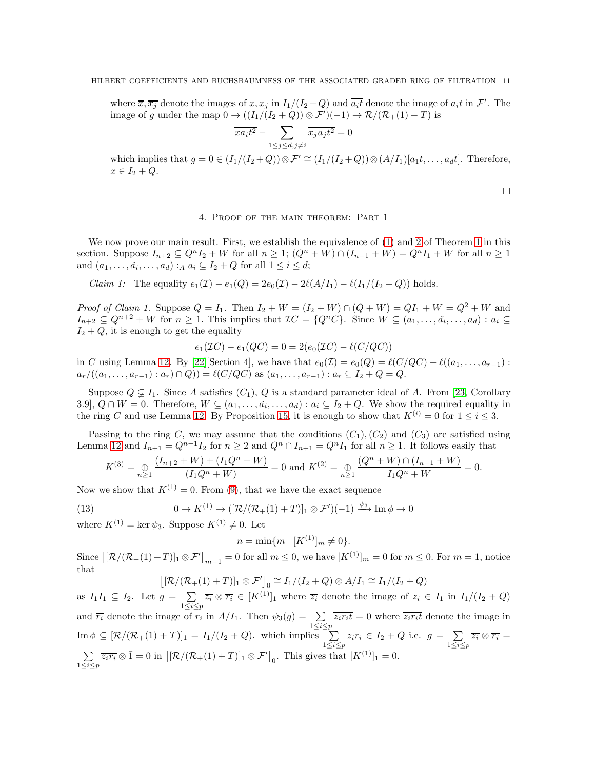where  $\overline{x}, \overline{x_j}$  denote the images of  $x, x_j$  in  $I_1/(I_2+Q)$  and  $\overline{a_i t}$  denote the image of  $a_i t$  in  $\mathcal{F}'$ . The image of g under the map  $0 \to ((I_1/(I_2+Q)) \otimes \mathcal{F}')(-1) \to \mathcal{R}/(\mathcal{R}_+(1)+T)$  is

$$
\overline{xa_it^2}-\sum_{1\leq j\leq d, j\neq i}\overline{x_ja_jt^2}=0
$$

which implies that  $g = 0 \in (I_1/(I_2+Q)) \otimes \mathcal{F}' \cong (I_1/(I_2+Q)) \otimes (A/I_1) \overline{|a_1 t|}, \ldots, \overline{|a_d t|}$ . Therefore,  $x \in I_2 + Q$ .

 $\Box$ 

## 4. Proof of the main theorem: Part 1

We now prove our main result. First, we establish the equivalence of  $(1)$  and [2](#page-1-1) of Theorem [1](#page-1-2) in this section. Suppose  $I_{n+2} \subseteq Q^n I_2 + W$  for all  $n \geq 1$ ;  $(Q^n + W) \cap (I_{n+1} + W) = Q^n I_1 + W$  for all  $n \geq 1$ and  $(a_1, \ldots, a_i, \ldots, a_d)$ :  $_A a_i \subseteq I_2 + Q$  for all  $1 \leq i \leq d$ ;

*Claim 1:* The equality  $e_1(\mathcal{I}) - e_1(Q) = 2e_0(\mathcal{I}) - 2\ell(A/I_1) - \ell(I_1/(I_2 + Q))$  holds.

*Proof of Claim 1.* Suppose  $Q = I_1$ . Then  $I_2 + W = (I_2 + W) \cap (Q + W) = QI_1 + W = Q^2 + W$  and  $I_{n+2} \subseteq Q^{n+2} + W$  for  $n \geq 1$ . This implies that  $\mathcal{I}C = \{Q^nC\}$ . Since  $W \subseteq (a_1, \ldots, a_i, \ldots, a_d) : a_i \subseteq$  $I_2 + Q$ , it is enough to get the equality

$$
e_1(\mathcal{I}C) - e_1(QC) = 0 = 2(e_0(\mathcal{I}C) - \ell(C/QC))
$$

in C using Lemma 12. By [\[22\]](#page-17-12)[Section 4], we have that  $e_0(\mathcal{I}) = e_0(Q) = \ell(C/QC) - \ell((a_1, \ldots, a_{r-1})$ :  $a_r/((a_1, \ldots, a_{r-1}): a_r) \cap Q) = \ell(C/QC)$  as  $(a_1, \ldots, a_{r-1}): a_r \subseteq I_2 + Q = Q$ .

Suppose  $Q \subsetneq I_1$ . Since A satisfies  $(C_1)$ , Q is a standard parameter ideal of A. From [\[23,](#page-17-10) Corollary 3.9,  $Q \cap W = 0$ . Therefore,  $W \subseteq (a_1, \ldots, a_i, \ldots, a_d) : a_i \subseteq I_2 + Q$ . We show the required equality in the ring C and use Lemma 12. By Proposition [15,](#page-8-0) it is enough to show that  $K^{(i)} = 0$  for  $1 \le i \le 3$ .

Passing to the ring C, we may assume that the conditions  $(C_1), (C_2)$  and  $(C_3)$  are satisfied using Lemma 12 and  $I_{n+1} = Q^{n-1}I_2$  for  $n \geq 2$  and  $Q^n \cap I_{n+1} = Q^nI_1$  for all  $n \geq 1$ . It follows easily that

$$
K^{(3)} = \bigoplus_{n \ge 1} \frac{(I_{n+2} + W) + (I_1 Q^n + W)}{(I_1 Q^n + W)} = 0 \text{ and } K^{(2)} = \bigoplus_{n \ge 1} \frac{(Q^n + W) \cap (I_{n+1} + W)}{I_1 Q^n + W} = 0.
$$

Now we show that  $K^{(1)} = 0$ . From [\(9\)](#page-7-0), that we have the exact sequence

(13) 
$$
0 \to K^{(1)} \to ([\mathcal{R}/(\mathcal{R}_+(1)+T)]_1 \otimes \mathcal{F}')(-1) \xrightarrow{\psi_3} \text{Im} \phi \to 0
$$

where  $K^{(1)} = \ker \psi_3$ . Suppose  $K^{(1)} \neq 0$ . Let

 $n = \min\{m \mid [K^{(1)}]_m \neq 0\}.$ 

Since  $\left[\left[\mathcal{R}/(\mathcal{R}_+(1)+T)\right]_1 \otimes \mathcal{F}^\prime\right]_{m-1} = 0$  for all  $m \leq 0$ , we have  $\left[K^{(1)}\right]_m = 0$  for  $m \leq 0$ . For  $m = 1$ , notice that

$$
\left[ \left[ \mathcal{R}/(\mathcal{R}_+(1)+T) \right]_1 \otimes \mathcal{F}' \right]_0 \cong I_1/(I_2+Q) \otimes A/I_1 \cong I_1/(I_2+Q)
$$

as  $I_1I_1 \subseteq I_2$ . Let  $g = \sum \overline{z_i} \otimes \overline{r_i} \in [K^{(1)}]_1$  where  $\overline{z_i}$  denote the image of  $z_i \in I_1$  in  $I_1/(I_2 + Q)$  $1 \leq i \leq p$ and  $\overline{r_i}$  denote the image of  $r_i$  in  $A/I_1$ . Then  $\psi_3(g) = \sum_{1 \leq i \leq p} \overline{z_i r_i t} = 0$  where  $\overline{z_i r_i t}$  denote the image in  $\text{Im } \phi \subseteq [\mathcal{R}/(\mathcal{R}_+(1)+T)]_1 = I_1/(I_2+Q)$ . which implies  $\sum_{1 \le i \le p} z_i r_i \in I_2 + Q$  i.e.  $g = \sum_{1 \le i \le p} z_i r_i$  $\sum\limits_{1\leq i\leq p}\overline{z_{i}}\otimes \overline{r_{i}}=$  $\sum$  $\sum_{1 \leq i \leq p} \overline{z_i r_i} \otimes \overline{1} = 0$  in  $\left[ \left[ \mathcal{R} / (\mathcal{R}_+(1) + T) \right]_1 \otimes \mathcal{F}' \right]_0$ . This gives that  $[K^{(1)}]_1 = 0$ .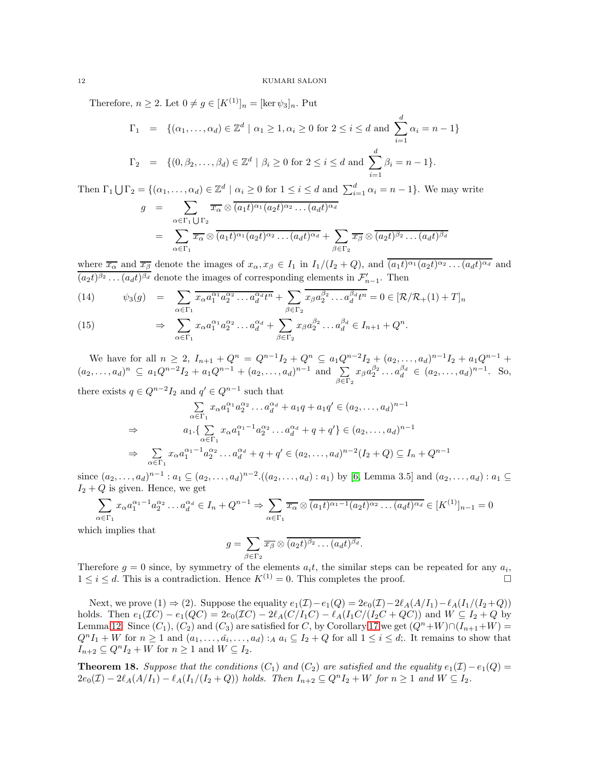Therefore,  $n \geq 2$ . Let  $0 \neq g \in [K^{(1)}]_n = [\ker \psi_3]_n$ . Put

$$
\Gamma_1 = \{ (\alpha_1, ..., \alpha_d) \in \mathbb{Z}^d \mid \alpha_1 \ge 1, \alpha_i \ge 0 \text{ for } 2 \le i \le d \text{ and } \sum_{i=1}^d \alpha_i = n - 1 \}
$$
  

$$
\Gamma_2 = \{ (0, \beta_2, ..., \beta_d) \in \mathbb{Z}^d \mid \beta_i \ge 0 \text{ for } 2 \le i \le d \text{ and } \sum_{i=1}^d \beta_i = n - 1 \}.
$$

Then  $\Gamma_1 \bigcup \Gamma_2 = \{(\alpha_1, \ldots, \alpha_d) \in \mathbb{Z}^d \mid \alpha_i \geq 0 \text{ for } 1 \leq i \leq d \text{ and } \sum_{i=1}^d \alpha_i = n-1\}.$  We may write

$$
g = \sum_{\alpha \in \Gamma_1 \cup \Gamma_2} \overline{x_{\alpha}} \otimes \overline{(a_1 t)^{\alpha_1} (a_2 t)^{\alpha_2} \dots (a_d t)^{\alpha_d}}
$$
  

$$
= \sum_{\alpha \in \Gamma_1} \overline{x_{\alpha}} \otimes \overline{(a_1 t)^{\alpha_1} (a_2 t)^{\alpha_2} \dots (a_d t)^{\alpha_d}} + \sum_{\beta \in \Gamma_2} \overline{x_{\beta}} \otimes \overline{(a_2 t)^{\beta_2} \dots (a_d t)^{\beta_d}}
$$

where  $\overline{x_{\alpha}}$  and  $\overline{x_{\beta}}$  denote the images of  $x_{\alpha}, x_{\beta} \in I_1$  in  $I_1/(I_2+Q)$ , and  $(a_1t)^{\alpha_1}(a_2t)^{\alpha_2}\dots(a_dt)^{\alpha_d}$  and  $(a_2t)^{\beta_2}\dots(a_dt)^{\beta_d}$  denote the images of corresponding elements in  $\mathcal{F}'_{n-1}$ . Then

(14) 
$$
\psi_3(g) = \sum_{\alpha \in \Gamma_1} \overline{x_{\alpha} a_1^{\alpha_1} a_2^{\alpha_2} \dots a_d^{\alpha_d} t^n} + \sum_{\beta \in \Gamma_2} \overline{x_{\beta} a_2^{\beta_2} \dots a_d^{\beta_d} t^n} = 0 \in [\mathcal{R}/\mathcal{R}_+(1) + T]_n
$$

(15) 
$$
\Rightarrow \sum_{\alpha \in \Gamma_1} x_{\alpha} a_1^{\alpha_1} a_2^{\alpha_2} \dots a_d^{\alpha_d} + \sum_{\beta \in \Gamma_2} x_{\beta} a_2^{\beta_2} \dots a_d^{\beta_d} \in I_{n+1} + Q^n.
$$

We have for all  $n \geq 2$ ,  $I_{n+1} + Q^n = Q^{n-1}I_2 + Q^n \subseteq a_1Q^{n-2}I_2 + (a_2, \ldots, a_d)^{n-1}I_2 + a_1Q^{n-1}$  $(a_2,...,a_d)^n \subseteq a_1Q^{n-2}I_2 + a_1Q^{n-1} + (a_2,...,a_d)^{n-1}$  and  $\sum$  $\sum_{\beta \in \Gamma_2} x_{\beta} a_2^{\beta_2} \dots a_d^{\beta_d} \in (a_2, \dots, a_d)^{n-1}$ . So, there exists  $q \in Q^{n-2}I_2$  and  $q' \in Q^{n-1}$  such that

$$
\sum_{\alpha \in \Gamma_1} x_{\alpha} a_1^{\alpha_1} a_2^{\alpha_2} \dots a_d^{\alpha_d} + a_1 q + a_1 q' \in (a_2, \dots, a_d)^{n-1}
$$
  
\n
$$
\Rightarrow \qquad a_1 \cdot \left\{ \sum_{\alpha \in \Gamma_1} x_{\alpha} a_1^{\alpha_1 - 1} a_2^{\alpha_2} \dots a_d^{\alpha_d} + q + q' \right\} \in (a_2, \dots, a_d)^{n-1}
$$
  
\n
$$
\Rightarrow \qquad \sum_{\alpha \in \Gamma_1} x_{\alpha} a_1^{\alpha_1 - 1} a_2^{\alpha_2} \dots a_d^{\alpha_d} + q + q' \in (a_2, \dots, a_d)^{n-2} (I_2 + Q) \subseteq I_n + Q^{n-1}
$$

since  $(a_2, \ldots, a_d)^{n-1}$ :  $a_1 \subseteq (a_2, \ldots, a_d)^{n-2}$ .  $((a_2, \ldots, a_d) : a_1)$  by [\[6,](#page-17-5) Lemma 3.5] and  $(a_2, \ldots, a_d) : a_1 \subseteq$  $I_2 + Q$  is given. Hence, we get

$$
\sum_{\alpha \in \Gamma_1} x_{\alpha} a_1^{\alpha_1 - 1} a_2^{\alpha_2} \dots a_d^{\alpha_d} \in I_n + Q^{n-1} \Rightarrow \sum_{\alpha \in \Gamma_1} \overline{x_{\alpha}} \otimes \overline{(a_1 t)^{\alpha_1 - 1} (a_2 t)^{\alpha_2} \dots (a_d t)^{\alpha_d}} \in [K^{(1)}]_{n-1} = 0
$$

which implies that

$$
g = \sum_{\beta \in \Gamma_2} \overline{x_{\beta}} \otimes \overline{(a_2 t)^{\beta_2} \dots (a_d t)^{\beta_d}}.
$$

Therefore  $g = 0$  since, by symmetry of the elements  $a_i t$ , the similar steps can be repeated for any  $a_i$ ,  $1 \leq i \leq d$ . This is a contradiction. Hence  $K^{(1)} = 0$ . This completes the proof.

Next, we prove (1)  $\Rightarrow$  (2). Suppose the equality  $e_1(\mathcal{I}) - e_1(Q) = 2e_0(\mathcal{I}) - 2\ell_A(A/I_1) - \ell_A(I_1/(I_2+Q))$ holds. Then  $e_1(\mathcal{I}C) - e_1(QC) = 2e_0(\mathcal{I}C) - 2\ell_A(C/I_1C) - \ell_A(I_1C/(I_2C+QC))$  and  $W \subseteq I_2 + Q$  by Lemma 12. Since  $(C_1)$ ,  $(C_2)$  and  $(C_3)$  are satisfied for C, by Corollary [17](#page-9-1) we get  $(Q<sup>n</sup>+W)\cap (I_{n+1}+W)$  =  $Q^nI_1+W$  for  $n\geq 1$  and  $(a_1,\ldots,\tilde{a_i},\ldots,a_d):_A a_i\subseteq I_2+Q$  for all  $1\leq i\leq d$ . It remains to show that  $I_{n+2} \subseteq Q^n I_2 + W$  for  $n \geq 1$  and  $W \subseteq I_2$ .

<span id="page-11-0"></span>**Theorem 18.** *Suppose that the conditions*  $(C_1)$  *and*  $(C_2)$  *are satisfied and the equality*  $e_1(\mathcal{I}) - e_1(Q) =$  $2e_0(\mathcal{I}) - 2\ell_A(A/I_1) - \ell_A(I_1/(I_2+Q))$  *holds. Then*  $I_{n+2} \subseteq Q^nI_2 + W$  *for*  $n \ge 1$  *and*  $W \subseteq I_2$ *.*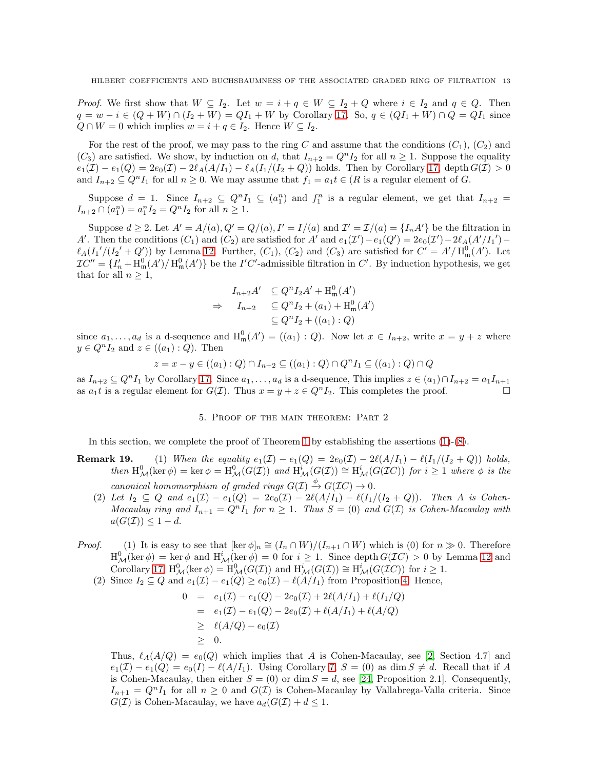*Proof.* We first show that  $W \subseteq I_2$ . Let  $w = i + q \in W \subseteq I_2 + Q$  where  $i \in I_2$  and  $q \in Q$ . Then  $q = w - i \in (Q + W) \cap (I_2 + W) = QI_1 + W$  by Corollary [17.](#page-9-1) So,  $q \in (QI_1 + W) \cap Q = QI_1$  since  $Q \cap W = 0$  which implies  $w = i + q \in I_2$ . Hence  $W \subseteq I_2$ .

For the rest of the proof, we may pass to the ring C and assume that the conditions  $(C_1)$ ,  $(C_2)$  and  $(C_3)$  are satisfied. We show, by induction on d, that  $I_{n+2} = Q^n I_2$  for all  $n \geq 1$ . Suppose the equality  $e_1(\mathcal{I}) - e_1(Q) = 2e_0(\mathcal{I}) - 2\ell_A(A/I_1) - \ell_A(I_1/(I_2+Q))$  holds. Then by Corollary [17,](#page-9-1) depth  $G(\mathcal{I}) > 0$ and  $I_{n+2} \subseteq Q^n I_1$  for all  $n \geq 0$ . We may assume that  $f_1 = a_1 t \in (R$  is a regular element of G.

Suppose  $d = 1$ . Since  $I_{n+2} \subseteq Q^n I_1 \subseteq (a_1^n)$  and  $f_1^n$  is a regular element, we get that  $I_{n+2} =$  $I_{n+2} \cap (a_1^n) = a_1^n I_2 = Q^n I_2$  for all  $n \ge 1$ .

Suppose  $d \geq 2$ . Let  $A' = A/(a)$ ,  $Q' = Q/(a)$ ,  $I' = I/(a)$  and  $\mathcal{I}' = \mathcal{I}/(a) = \{I_n A'\}$  be the filtration in A'. Then the conditions  $(C_1)$  and  $(C_2)$  are satisfied for A' and  $e_1(\mathcal{I}')-e_1(Q')=2e_0(\mathcal{I}')-2\ell_A(A'/I_1')-2\ell_B(I')$  $\ell_A(I_1'/(I_2'+Q'))$  by Lemma 12. Further,  $(C_1)$ ,  $(C_2)$  and  $(C_3)$  are satisfied for  $C'=A'/H_{\mathfrak{m}}^0(A')$ . Let  $TC'' = \{I'_n + H^0_m(A') / H^0_m(A')\}$  be the I'C'-admissible filtration in C'. By induction hypothesis, we get that for all  $n \geq 1$ ,

$$
I_{n+2}A' \subseteq Q^n I_2 A' + \text{H}^0_\text{m}(A')
$$
  
\n
$$
\Rightarrow I_{n+2} \subseteq Q^n I_2 + (a_1) + \text{H}^0_\text{m}(A')
$$
  
\n
$$
\subseteq Q^n I_2 + ((a_1) : Q)
$$

since  $a_1, \ldots, a_d$  is a d-sequence and  $H_m^0(A') = ((a_1) : Q)$ . Now let  $x \in I_{n+2}$ , write  $x = y + z$  where  $y \in Q^n I_2$  and  $z \in ((a_1) : Q)$ . Then

$$
z = x - y \in ((a_1) : Q) \cap I_{n+2} \subseteq ((a_1) : Q) \cap Q^n I_1 \subseteq ((a_1) : Q) \cap Q
$$

as  $I_{n+2} \subseteq Q^nI_1$  by Corollary [17.](#page-9-1) Since  $a_1, \ldots, a_d$  is a d-sequence, This implies  $z \in (a_1) \cap I_{n+2} = a_1I_{n+1}$ as  $a_1t$  is a regular element for  $G(\mathcal{I})$ . Thus  $x = y + z \in Q^n I_2$ . This completes the proof.

5. Proof of the main theorem: Part 2

In this section, we complete the proof of Theorem [1](#page-1-2) by establishing the assertions [\(1\)](#page-1-3)-[\(8\)](#page-1-4).

- **Remark 19.** (1) *When the equality*  $e_1(\mathcal{I}) e_1(Q) = 2e_0(\mathcal{I}) 2\ell(A/I_1) \ell(I_1/(I_2 + Q))$  *holds,*  $then \ H_{\mathcal{M}}^{0}(\ker \phi) = \ker \phi = H_{\mathcal{M}}^{0}(G(\mathcal{I})) \ \ and \ H_{\mathcal{M}}^{i}(G(\mathcal{I})) \cong H_{\mathcal{M}}^{i}(G(\mathcal{I}C)) \ \ for \ \ i \geq 1 \ \ where \ \ \phi \ \ is \ \ the$ *canonical homomorphism of graded rings*  $G(\mathcal{I}) \xrightarrow{\phi} G(\mathcal{I}C) \rightarrow 0$ .
	- (2) Let  $I_2 \subseteq Q$  and  $e_1(\mathcal{I}) e_1(Q) = 2e_0(\mathcal{I}) 2\ell(A/I_1) \ell(I_1/(I_2 + Q))$ . Then A is Cohen-*Macaulay ring and*  $I_{n+1} = Q^n I_1$  *for*  $n \geq 1$ *. Thus*  $S = (0)$  *and*  $G(\mathcal{I})$  *is Cohen-Macaulay with*  $a(G(\mathcal{I})) \leq 1-d.$
- *Proof.* (1) It is easy to see that  $[\ker \phi]_n \cong (I_n \cap W)/(I_{n+1} \cap W)$  which is (0) for  $n \gg 0$ . Therefore  $H^0_{\mathcal{M}}(\ker \phi) = \ker \phi$  and  $H^i_{\mathcal{M}}(\ker \phi) = 0$  for  $i \geq 1$ . Since depth  $G(\mathcal{I}C) > 0$  by Lemma 12 and Corollary [17,](#page-9-1)  $\mathrm{H}^0_\mathcal{M}(\ker \phi) = \mathrm{H}^0_\mathcal{M}(G(\mathcal{I}))$  and  $\mathrm{H}^i_\mathcal{M}(G(\mathcal{I})) \cong \mathrm{H}^i_\mathcal{M}(G(\mathcal{I}C))$  for  $i \geq 1$ .
	- (2) Since  $I_2 \subseteq Q$  and  $e_1(\mathcal{I}) e_1(Q) \geq e_0(\mathcal{I}) \ell(A/I_1)$  from Proposition [4.](#page-2-0) Hence,

$$
0 = e_1(\mathcal{I}) - e_1(Q) - 2e_0(\mathcal{I}) + 2\ell(A/I_1) + \ell(I_1/Q)
$$
  
=  $e_1(\mathcal{I}) - e_1(Q) - 2e_0(\mathcal{I}) + \ell(A/I_1) + \ell(A/Q)$   
 $\geq \ell(A/Q) - e_0(\mathcal{I})$   
 $\geq 0.$ 

Thus,  $\ell_A(A/Q) = e_0(Q)$  which implies that A is Cohen-Macaulay, see [\[2,](#page-16-2) Section 4.7] and  $e_1(\mathcal{I}) - e_1(Q) = e_0(I) - \ell(A/I_1)$ . Using Corollary [7,](#page-3-3)  $S = (0)$  as dim  $S \neq d$ . Recall that if A is Cohen-Macaulay, then either  $S = (0)$  or dim  $S = d$ , see [\[24,](#page-17-13) Proposition 2.1]. Consequently,  $I_{n+1} = Q^n I_1$  for all  $n \geq 0$  and  $G(\mathcal{I})$  is Cohen-Macaulay by Vallabrega-Valla criteria. Since  $G(\mathcal{I})$  is Cohen-Macaulay, we have  $a_d(G(\mathcal{I}) + d \leq 1$ .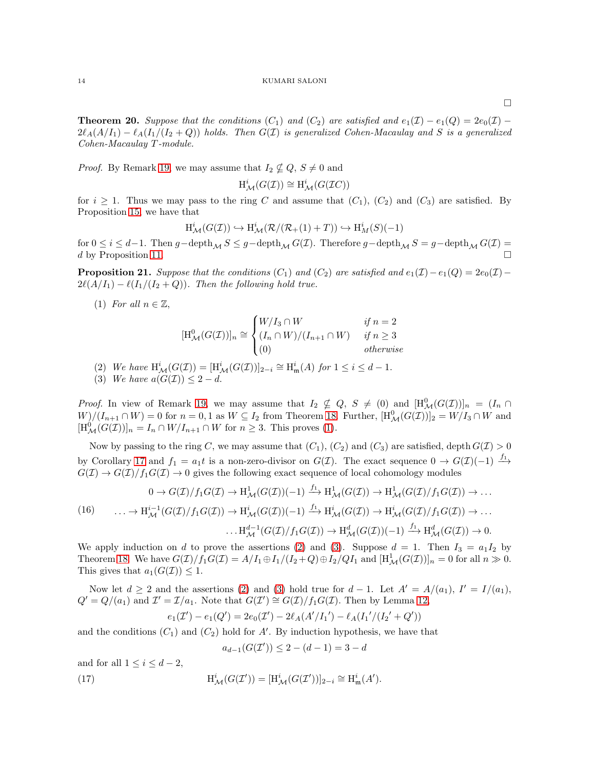<span id="page-13-5"></span>**Theorem 20.** Suppose that the conditions  $(C_1)$  and  $(C_2)$  are satisfied and  $e_1(\mathcal{I}) - e_1(Q) = 2e_0(\mathcal{I}) 2\ell_A(A/I_1) - \ell_A(I_1/(I_2 + Q))$  *holds. Then*  $G(\mathcal{I})$  *is generalized Cohen-Macaulay and* S *is a generalized Cohen-Macaulay* T *-module.*

*Proof.* By Remark 19, we may assume that  $I_2 \nsubseteq Q$ ,  $S \neq 0$  and

$$
\operatorname{H}^{i}_{\mathcal{M}}(G(\mathcal{I})) \cong \operatorname{H}^{i}_{\mathcal{M}}(G(\mathcal{I}C))
$$

for  $i \geq 1$ . Thus we may pass to the ring C and assume that  $(C_1)$ ,  $(C_2)$  and  $(C_3)$  are satisfied. By Proposition [15,](#page-8-0) we have that

$$
H^i_{\mathcal{M}}(G(\mathcal{I})) \hookrightarrow H^i_{\mathcal{M}}(\mathcal{R}/(\mathcal{R}_+(1)+T)) \hookrightarrow H^i_{M}(S)(-1)
$$

for  $0 \le i \le d-1$ . Then  $g-\text{depth}_{\mathcal{M}} S \le g-\text{depth}_{\mathcal{M}} G(\mathcal{I})$ . Therefore  $g-\text{depth}_{\mathcal{M}} S = g-\text{depth}_{\mathcal{M}} G(\mathcal{I}) = d$  by Proposition 11 d by Proposition [11.](#page-5-0)

<span id="page-13-6"></span>**Proposition 21.** *Suppose that the conditions*  $(C_1)$  *and*  $(C_2)$  *are satisfied and*  $e_1(\mathcal{I}) - e_1(Q) = 2e_0(\mathcal{I}) 2\ell(A/I_1) - \ell(I_1/(I_2 + Q))$ . Then the following hold true.

<span id="page-13-0"></span>(1) *For all*  $n \in \mathbb{Z}$ ,

$$
[\mathrm{H}_{\mathcal{M}}^{0}(G(\mathcal{I}))]_{n} \cong \begin{cases} W/I_{3} \cap W & \text{if } n = 2\\ (I_{n} \cap W)/(I_{n+1} \cap W) & \text{if } n \ge 3\\ (0) & \text{otherwise} \end{cases}
$$

<span id="page-13-2"></span><span id="page-13-1"></span>(2) *We have*  $H^i_{\mathcal{M}}(G(\mathcal{I})) = [H^i_{\mathcal{M}}(G(\mathcal{I}))]_{2-i} \cong H^i_{\mathfrak{m}}(A)$  *for*  $1 \leq i \leq d-1$ .

(3) *We have*  $a(G(\mathcal{I})) \leq 2 - d$ .

*Proof.* In view of Remark 19, we may assume that  $I_2 \nsubseteq Q$ ,  $S \neq (0)$  and  $[\text{H}^0_{\mathcal{M}}(G(\mathcal{I}))]_n = (I_n \cap$  $W/(I_{n+1}\cap W) = 0$  for  $n=0,1$  as  $W \subseteq I_2$  from Theorem [18.](#page-11-0) Further,  $[H^0_{\mathcal{M}}(G(\mathcal{I}))]_2 = W/I_3 \cap W$  and  $[H^0_{\mathcal{M}}(G(\mathcal{I}))]_n = I_n \cap W/I_{n+1} \cap W$  for  $n \geq 3$ . This proves [\(1\)](#page-13-0).

Now by passing to the ring C, we may assume that  $(C_1)$ ,  $(C_2)$  and  $(C_3)$  are satisfied, depth  $G(\mathcal{I}) > 0$ by Corollary [17](#page-9-1) and  $f_1 = a_1t$  is a non-zero-divisor on  $G(\mathcal{I})$ . The exact sequence  $0 \to G(\mathcal{I})(-1) \xrightarrow{f_1}$  $G(\mathcal{I}) \to G(\mathcal{I})/f_1G(\mathcal{I}) \to 0$  gives the following exact sequence of local cohomology modules

<span id="page-13-3"></span>
$$
0 \to G(\mathcal{I})/f_1G(\mathcal{I}) \to \mathrm{H}^1_{\mathcal{M}}(G(\mathcal{I}))(-1) \xrightarrow{f_1} \mathrm{H}^1_{\mathcal{M}}(G(\mathcal{I})) \to \mathrm{H}^1_{\mathcal{M}}(G(\mathcal{I})/f_1G(\mathcal{I})) \to \dots
$$
  
(16) 
$$
\dots \to \mathrm{H}^{i-1}_{\mathcal{M}}(G(\mathcal{I})/f_1G(\mathcal{I})) \to \mathrm{H}^i_{\mathcal{M}}(G(\mathcal{I}))(-1) \xrightarrow{f_1} \mathrm{H}^i_{\mathcal{M}}(G(\mathcal{I})) \to \mathrm{H}^i_{\mathcal{M}}(G(\mathcal{I})/f_1G(\mathcal{I})) \to \dots
$$

$$
\dots \mathrm{H}^{d-1}_{\mathcal{M}}(G(\mathcal{I})/f_1G(\mathcal{I})) \to \mathrm{H}^d_{\mathcal{M}}(G(\mathcal{I}))(-1) \xrightarrow{f_1} \mathrm{H}^d_{\mathcal{M}}(G(\mathcal{I})) \to 0.
$$

We apply induction on d to prove the assertions [\(2\)](#page-13-1) and [\(3\)](#page-13-2). Suppose  $d = 1$ . Then  $I_3 = a_1 I_2$  by Theorem [18.](#page-11-0) We have  $G(\mathcal{I})/f_1G(\mathcal{I}) = A/I_1 \oplus I_1/(I_2+Q) \oplus I_2/QI_1$  and  $[\text{H}^1_{\mathcal{M}}(G(\mathcal{I}))]_n = 0$  for all  $n \gg 0$ . This gives that  $a_1(G(\mathcal{I})) \leq 1$ .

Now let  $d \geq 2$  and the assertions [\(2\)](#page-13-1) and [\(3\)](#page-13-2) hold true for  $d-1$ . Let  $A' = A/(a_1)$ ,  $I' = I/(a_1)$ ,  $Q' = Q/(a_1)$  and  $\mathcal{I}' = \mathcal{I}/a_1$ . Note that  $G(\mathcal{I}') \cong G(\mathcal{I})/f_1G(\mathcal{I})$ . Then by Lemma 12,

$$
e_1(\mathcal{I}') - e_1(Q') = 2e_0(\mathcal{I}') - 2\ell_A(A'/I_1') - \ell_A(I_1'/(I_2' + Q'))
$$

and the conditions  $(C_1)$  and  $(C_2)$  hold for A'. By induction hypothesis, we have that

<span id="page-13-4"></span>
$$
a_{d-1}(G(\mathcal{I}')) \le 2 - (d-1) = 3 - d
$$

and for all  $1 \leq i \leq d-2$ ,

(17) 
$$
\mathrm{H}^i_{\mathcal{M}}(G(\mathcal{I}')) = [\mathrm{H}^i_{\mathcal{M}}(G(\mathcal{I}'))]_{2-i} \cong \mathrm{H}^i_{\mathfrak{m}}(A').
$$

 $\Box$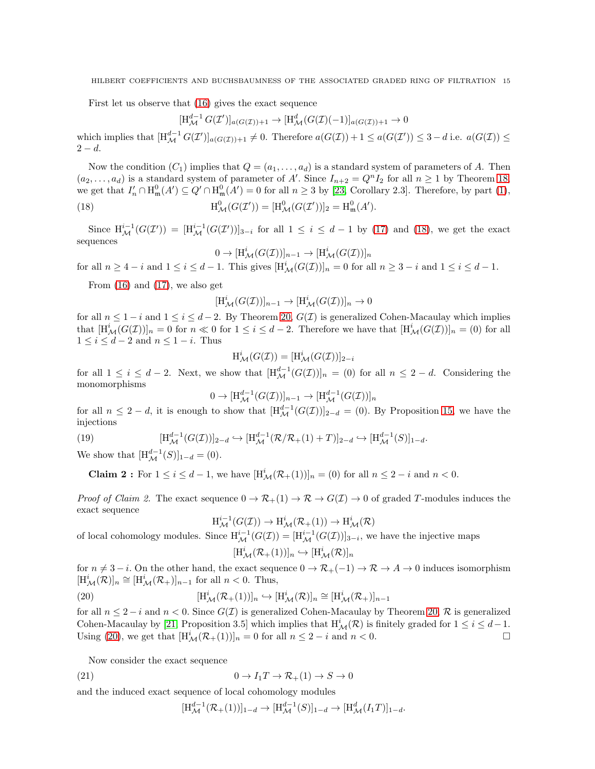First let us observe that [\(16\)](#page-13-3) gives the exact sequence

$$
[\mathrm{H}^{d-1}_{\mathcal{M}} G(\mathcal{I}')]_{a(G(\mathcal{I}))+1} \to [\mathrm{H}^d_{\mathcal{M}} (G(\mathcal{I})(-1))]_{a(G(\mathcal{I}))+1} \to 0
$$

which implies that  $[H_{\mathcal{M}}^{d-1} G(\mathcal{I}')]_{a(G(\mathcal{I}))+1} \neq 0$ . Therefore  $a(G(\mathcal{I})) + 1 \leq a(G(\mathcal{I}')) \leq 3 - d$  i.e.  $a(G(\mathcal{I})) \leq$  $2 - d$ .

Now the condition  $(C_1)$  implies that  $Q = (a_1, \ldots, a_d)$  is a standard system of parameters of A. Then  $(a_2,\ldots,a_d)$  is a standard system of parameter of A'. Since  $I_{n+2}=Q^nI_2$  for all  $n\geq 1$  by Theorem [18,](#page-11-0) we get that  $I'_n \cap \mathrm{H}_{\mathfrak{m}}^0(A') \subseteq Q' \cap \mathrm{H}_{\mathfrak{m}}^0(A') = 0$  for all  $n \geq 3$  by [\[23,](#page-17-10) Corollary 2.3]. Therefore, by part [\(1\)](#page-13-0), (18)  $H<sub>0</sub><sup>0</sup>$  ${}_{\mathcal{M}}^{0}(G(\mathcal{I}'))=[\mathrm{H}_{\mathcal{M}}^{0}(G(\mathcal{I}'))]_{2}=\mathrm{H}_{\mathfrak{m}}^{0}(A').$ 

Since  $\text{H}^{i-1}_{\mathcal{M}}(G(\mathcal{I}')) = [\text{H}^{i-1}_{\mathcal{M}}(G(\mathcal{I}'))]_{3-i}$  for all  $1 \leq i \leq d-1$  by [\(17\)](#page-13-4) and [\(18\)](#page-14-0), we get the exact sequences

<span id="page-14-0"></span>
$$
0 \to [\mathrm{H}^i_{\mathcal{M}}(G(\mathcal{I}))]_{n-1} \to [\mathrm{H}^i_{\mathcal{M}}(G(\mathcal{I}))]_n
$$

for all  $n \geq 4 - i$  and  $1 \leq i \leq d - 1$ . This gives  $[\text{H}_{\mathcal{M}}^{i}(G(\mathcal{I}))]_n = 0$  for all  $n \geq 3 - i$  and  $1 \leq i \leq d - 1$ .

From  $(16)$  and  $(17)$ , we also get

$$
[\mathrm{H}^i_{\mathcal{M}}(G(\mathcal{I}))]_{n-1} \to [\mathrm{H}^i_{\mathcal{M}}(G(\mathcal{I}))]_n \to 0
$$

for all  $n \leq 1 - i$  and  $1 \leq i \leq d - 2$ . By Theorem [20,](#page-13-5)  $G(\mathcal{I})$  is generalized Cohen-Macaulay which implies that  $[\text{H}^i_{\mathcal{M}}(G(\mathcal{I}))]_n = 0$  for  $n \ll 0$  for  $1 \leq i \leq d-2$ . Therefore we have that  $[\text{H}^i_{\mathcal{M}}(G(\mathcal{I}))]_n = (0)$  for all  $1 \leq i \leq d-2$  and  $n \leq 1-i$ . Thus

$$
H^i_{\mathcal{M}}(G(\mathcal{I})) = [H^i_{\mathcal{M}}(G(\mathcal{I}))]_{2-i}
$$

for all  $1 \leq i \leq d-2$ . Next, we show that  $[H_{\mathcal{M}}^{d-1}(G(\mathcal{I}))]_n = (0)$  for all  $n \leq 2-d$ . Considering the monomorphisms

$$
0 \to [\mathrm{H}^{d-1}_{\mathcal{M}}(G(\mathcal{I}))]_{n-1} \to [\mathrm{H}^{d-1}_{\mathcal{M}}(G(\mathcal{I}))]_n
$$

<span id="page-14-2"></span>for all  $n \leq 2-d$ , it is enough to show that  $[H_{\mathcal{M}}^{d-1}(G(\mathcal{I}))]_{2-d} = (0)$ . By Proposition [15,](#page-8-0) we have the injections

(19) 
$$
[\text{H}_{\mathcal{M}}^{d-1}(G(\mathcal{I}))]_{2-d} \hookrightarrow [\text{H}_{\mathcal{M}}^{d-1}(\mathcal{R}/\mathcal{R}_+(1)+T)]_{2-d} \hookrightarrow [\text{H}_{\mathcal{M}}^{d-1}(S)]_{1-d}.
$$

We show that  $[H_{\mathcal{M}}^{d-1}(S)]_{1-d} = (0).$ 

**Claim 2**: For  $1 \leq i \leq d-1$ , we have  $[H^i_{\mathcal{M}}(\mathcal{R}_+(1))]_n = (0)$  for all  $n \leq 2-i$  and  $n < 0$ .

*Proof of Claim 2.* The exact sequence  $0 \to \mathcal{R}_+(1) \to \mathcal{R} \to G(\mathcal{I}) \to 0$  of graded T-modules induces the exact sequence

$$
\operatorname{H}^{i-1}_{\mathcal{M}}(G(\mathcal{I})) \to \operatorname{H}^{i}_{\mathcal{M}}(\mathcal{R}_{+}(1)) \to \operatorname{H}^{i}_{\mathcal{M}}(\mathcal{R})
$$

of local cohomology modules. Since  $H^{i-1}_{\mathcal{M}}(G(\mathcal{I})) = [H^{i-1}_{\mathcal{M}}(G(\mathcal{I}))]_{3-i}$ , we have the injective maps

<span id="page-14-1"></span>
$$
[\mathrm{H}^i_{\mathcal{M}}(\mathcal{R}_+(1))]_n \hookrightarrow [\mathrm{H}^i_{\mathcal{M}}(\mathcal{R})]_n
$$

for  $n \neq 3 - i$ . On the other hand, the exact sequence  $0 \to \mathcal{R}_{+}(-1) \to \mathcal{R} \to A \to 0$  induces isomorphism  $[\mathbf{H}^i_{\mathcal{M}}(\mathcal{R})]_n \cong [\mathbf{H}^i_{\mathcal{M}}(\mathcal{R}_+)]_{n-1}$  for all  $n < 0$ . Thus,

(20) 
$$
[\mathrm{H}^i_{\mathcal{M}}(\mathcal{R}_+(1))]_n \hookrightarrow [\mathrm{H}^i_{\mathcal{M}}(\mathcal{R})]_n \cong [\mathrm{H}^i_{\mathcal{M}}(\mathcal{R}_+)]_{n-1}
$$

for all  $n \leq 2 - i$  and  $n < 0$ . Since  $G(\mathcal{I})$  is generalized Cohen-Macaulay by Theorem [20,](#page-13-5)  $\mathcal{R}$  is generalized Cohen-Macaulay by [\[21,](#page-17-14) Proposition 3.5] which implies that  $H^i_{\mathcal{M}}(\mathcal{R})$  is finitely graded for  $1 \leq i \leq d-1$ . Using [\(20\)](#page-14-1), we get that  $[H^i_{\mathcal{M}}(\mathcal{R}_+(1))]_n = 0$  for all  $n \leq 2 - i$  and  $n < 0$ .

Now consider the exact sequence

(21) 
$$
0 \to I_1 T \to \mathcal{R}_+(1) \to S \to 0
$$

and the induced exact sequence of local cohomology modules

<span id="page-14-3"></span>
$$
[\mathrm{H}^{d-1}_{\mathcal{M}}(\mathcal{R}_+(1))]_{1-d} \to [\mathrm{H}^{d-1}_{\mathcal{M}}(S)]_{1-d} \to [\mathrm{H}^d_{\mathcal{M}}(I_1T)]_{1-d}.
$$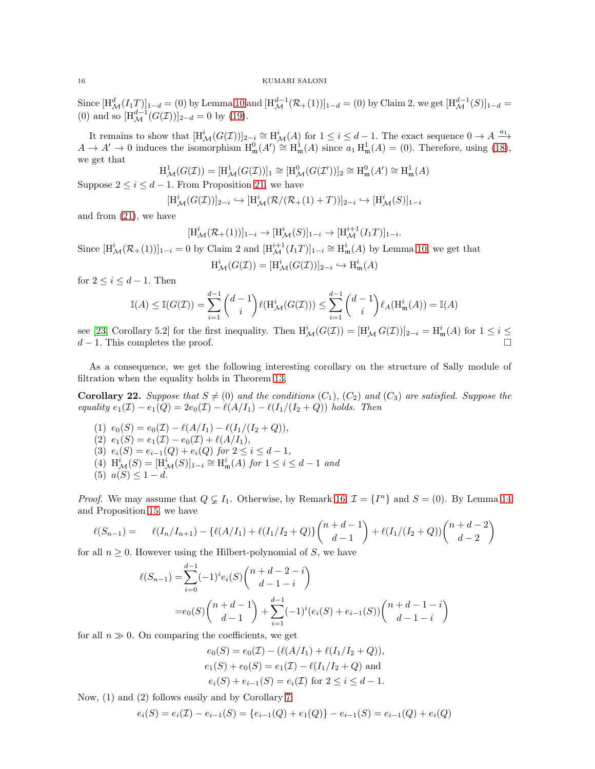Since  $[H_{\mathcal{M}}^{d}(I_{1}T)]_{1-d} = (0)$  by Lemma [10](#page-5-1) and  $[H_{\mathcal{M}}^{d-1}(\mathcal{R}_{+}(1))]_{1-d} = (0)$  by Claim 2, we get  $[H_{\mathcal{M}}^{d-1}(S)]_{1-d} =$ (0) and so  $[H_{\mathcal{M}}^{d-1}(G(\mathcal{I}))]_{2-d} = 0$  by [\(19\)](#page-14-2).

It remains to show that  $[\text{H}^i_{\mathcal{M}}(G(\mathcal{I}))]_{2-i} \cong \text{H}^i_{\mathcal{M}}(A)$  for  $1 \leq i \leq d-1$ . The exact sequence  $0 \to A \xrightarrow{a_1} A$  $A \to A' \to 0$  induces the isomorphism  $H_m^0(A') \cong H_m^1(A)$  since  $a_1 H_m^1(A) = (0)$ . Therefore, using [\(18\)](#page-14-0), we get that

$$
H^1_{\mathcal{M}}(G(\mathcal{I})) = [H^1_{\mathcal{M}}(G(\mathcal{I}))]_1 \cong [H^0_{\mathcal{M}}(G(\mathcal{I}'))]_2 \cong H^0_{\mathfrak{m}}(A') \cong H^1_{\mathfrak{m}}(A)
$$

Suppose  $2 \leq i \leq d-1$ . From Proposition [21,](#page-13-6) we have

$$
[\mathrm{H}^i_{\mathcal{M}}(G(\mathcal{I}))]_{2-i} \hookrightarrow [\mathrm{H}^i_{\mathcal{M}}(\mathcal{R}/(\mathcal{R}_+(1)+T))]_{2-i} \hookrightarrow [\mathrm{H}^i_{\mathcal{M}}(S)]_{1-i}
$$

and from [\(21\)](#page-14-3), we have

$$
[\mathrm{H}^i_{\mathcal{M}}(\mathcal{R}_+(1))]_{1-i} \to [\mathrm{H}^i_{\mathcal{M}}(S)]_{1-i} \to [\mathrm{H}^{i+1}_{\mathcal{M}}(I_1T)]_{1-i}.
$$

Since  $[H^i_{\mathcal{M}}(\mathcal{R}_+(1))]_{1-i} = 0$  by Claim 2 and  $[H^{i+1}_{\mathcal{M}}(I_1T)]_{1-i} \cong H^i_{\mathfrak{m}}(A)$  by Lemma [10,](#page-5-1) we get that

$$
H^i_{\mathcal{M}}(G(\mathcal{I})) = [H^i_{\mathcal{M}}(G(\mathcal{I}))]_{2-i} \hookrightarrow H^i_{\mathfrak{m}}(A)
$$

for  $2 \leq i \leq d-1$ . Then

$$
\mathbb{I}(A) \leq \mathbb{I}(G(\mathcal{I})) = \sum_{i=1}^{d-1} {d-1 \choose i} \ell(\mathrm{H}^i_{\mathcal{M}}(G(\mathcal{I}))) \leq \sum_{i=1}^{d-1} {d-1 \choose i} \ell_A(\mathrm{H}^i_{\mathfrak{m}}(A)) = \mathbb{I}(A)
$$

see [\[23,](#page-17-10) Corollary 5.2] for the first inequality. Then  $H^i_{\mathcal{M}}(G(\mathcal{I})) = [H^i_{\mathcal{M}} G(\mathcal{I}))]_{2-i} = H^i_{\mathfrak{m}}(A)$  for  $1 \leq i \leq$  $d-1$ . This completes the proof.

As a consequence, we get the following interesting corollary on the structure of Sally module of filtration when the equality holds in Theorem [13.](#page-6-0)

<span id="page-15-0"></span>**Corollary 22.** Suppose that  $S \neq (0)$  and the conditions  $(C_1)$ ,  $(C_2)$  and  $(C_3)$  are satisfied. Suppose the *equality*  $e_1(\mathcal{I}) - e_1(Q) = 2e_0(\mathcal{I}) - \ell(A/I_1) - \ell(I_1/(I_2 + Q))$  *holds. Then* 

(1)  $e_0(S) = e_0(\mathcal{I}) - \ell(A/I_1) - \ell(I_1/(I_2+Q)),$ (2)  $e_1(S) = e_1(\mathcal{I}) - e_0(\mathcal{I}) + \ell(A/I_1),$ (3)  $e_i(S) = e_{i-1}(Q) + e_i(Q)$  *for*  $2 \le i \le d-1$ *,*  $(4)$   $H<sup>i</sup><sub>M</sub>(S) = [H<sup>i</sup><sub>M</sub>(S)]<sub>1-i</sub> ≅ H<sup>i</sup><sub>m</sub>(A) for 1 ≤ i ≤ d - 1 and$ (5)  $a(S) \leq 1 - d$ .

*Proof.* We may assume that  $Q \subsetneq I_1$ . Otherwise, by Remark [16,](#page-9-0)  $\mathcal{I} = \{I^n\}$  and  $S = (0)$ . By Lemma [14](#page-7-3) and Proposition [15,](#page-8-0) we have

$$
\ell(S_{n-1}) = \ell(I_n/I_{n+1}) - \{\ell(A/I_1) + \ell(I_1/I_2 + Q)\}\binom{n+d-1}{d-1} + \ell(I_1/(I_2 + Q))\binom{n+d-2}{d-2}
$$

for all  $n \geq 0$ . However using the Hilbert-polynomial of S, we have

$$
\ell(S_{n-1}) = \sum_{i=0}^{d-1} (-1)^i e_i(S) \binom{n+d-2-i}{d-1-i}
$$
  
=  $e_0(S) \binom{n+d-1}{d-1} + \sum_{i=1}^{d-1} (-1)^i (e_i(S) + e_{i-1}(S)) \binom{n+d-1-i}{d-1-i}$ 

for all  $n \gg 0$ . On comparing the coefficients, we get

$$
e_0(S) = e_0(\mathcal{I}) - (\ell(A/I_1) + \ell(I_1/I_2 + Q)),
$$
  
\n
$$
e_1(S) + e_0(S) = e_1(\mathcal{I}) - \ell(I_1/I_2 + Q)
$$
 and  
\n
$$
e_i(S) + e_{i-1}(S) = e_i(\mathcal{I}) \text{ for } 2 \le i \le d - 1.
$$

Now, (1) and (2) follows easily and by Corollary [7,](#page-3-3)

$$
e_i(S) = e_i(\mathcal{I}) - e_{i-1}(S) = \{e_{i-1}(Q) + e_1(Q)\} - e_{i-1}(S) = e_{i-1}(Q) + e_i(Q)
$$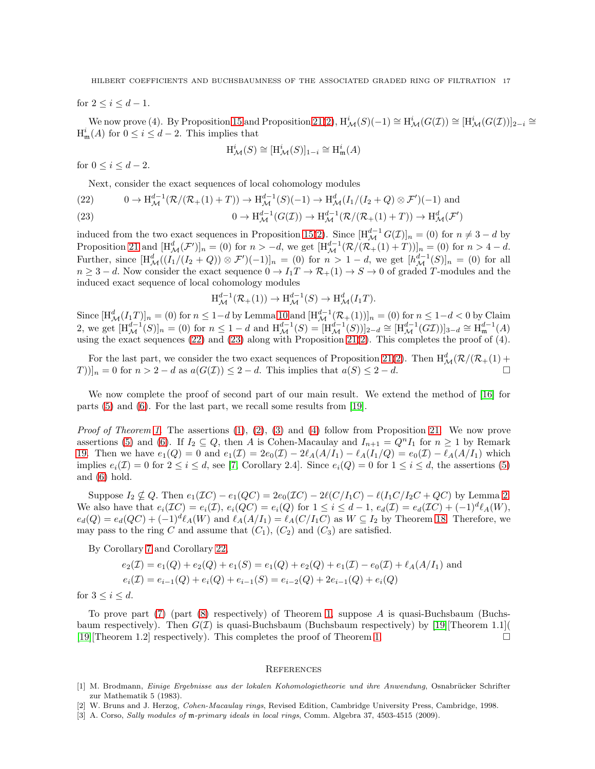for  $2 \le i \le d - 1$ .

We now prove (4). By Proposition [15](#page-8-0) and Proposition [21\(](#page-13-6)[2\)](#page-13-1),  $H^i_{\mathcal{M}}(S)(-1) \cong H^i_{\mathcal{M}}(G(\mathcal{I})) \cong [H^i_{\mathcal{M}}(G(\mathcal{I}))]_{2-i} \cong$  $H^i_{\mathfrak{m}}(A)$  for  $0 \leq i \leq d-2$ . This implies that

$$
\mathrm{H}^i_\mathcal{M}(S)\cong [\mathrm{H}^i_\mathcal{M}(S)]_{1-i}\cong \mathrm{H}^i_\mathfrak{m}(A)
$$

for  $0 \leq i \leq d-2$ .

Next, consider the exact sequences of local cohomology modules

<span id="page-16-3"></span>(22) 
$$
0 \to \mathrm{H}^{d-1}_{\mathcal{M}}(\mathcal{R}/(\mathcal{R}_+(1)+T)) \to \mathrm{H}^{d-1}_{\mathcal{M}}(S)(-1) \to \mathrm{H}^d_{\mathcal{M}}(I_1/(I_2+Q) \otimes \mathcal{F}')(-1) \text{ and}
$$

<span id="page-16-4"></span>(23) 
$$
0 \to H^{d-1}_{\mathcal{M}}(G(\mathcal{I})) \to H^{d-1}_{\mathcal{M}}(\mathcal{R}/(\mathcal{R}_+(1)+T)) \to H^{d}_{\mathcal{M}}(\mathcal{F}')
$$

induced from the two exact sequences in Proposition [15\(](#page-8-0)[2\)](#page-8-3). Since  $[H_{\mathcal{M}}^{d-1} G(\mathcal{I})]_n = (0)$  for  $n \neq 3 - d$  by Proposition [21](#page-13-6) and  $[H^d_{\mathcal{M}}(\mathcal{F}')]_n = (0)$  for  $n > -d$ , we get  $[H^{d-1}_{\mathcal{M}}(\mathcal{R}/(\mathcal{R}_+(1)+T))]_n = (0)$  for  $n > 4-d$ . Further, since  $[H_{\mathcal{M}}^{d}((I_1/(I_2+Q))\otimes \mathcal{F}')(-1)]_n = (0)$  for  $n > 1-d$ , we get  $[h_{\mathcal{M}}^{d-1}(S)]_n = (0)$  for all  $n \geq 3 - d$ . Now consider the exact sequence  $0 \to I_1T \to \mathcal{R}_+(1) \to S \to 0$  of graded T-modules and the induced exact sequence of local cohomology modules

$$
H_{\mathcal{M}}^{d-1}(\mathcal{R}_+(1)) \to H_{\mathcal{M}}^{d-1}(S) \to H_{\mathcal{M}}^d(I_1T).
$$

Since  $[H_{\mathcal{M}}^{d}(I_{1}T)]_{n} = (0)$  for  $n \leq 1-d$  by Lemma [10](#page-5-1) and  $[H_{\mathcal{M}}^{d-1}(\mathcal{R}_{+}(1))]_{n} = (0)$  for  $n \leq 1-d < 0$  by Claim 2, we get  $[H_{\mathcal{M}}^{d-1}(S)]_n = (0)$  for  $n \leq 1 - d$  and  $H_{\mathcal{M}}^{d-1}(S) = [H_{\mathcal{M}}^{d-1}(S))]_{2-d} \cong [H_{\mathcal{M}}^{d-1}(G\mathcal{I}))]_{3-d} \cong H_{\mathfrak{m}}^{d-1}(A)$ using the exact sequences  $(22)$  and  $(23)$  along with Proposition [21](#page-13-6) $(2)$ . This completes the proof of  $(4)$ .

For the last part, we consider the two exact sequences of Proposition [21\(](#page-13-6)[2\)](#page-13-1). Then  $H_{\mathcal{M}}^d(\mathcal{R}/(\mathcal{R}_+(1))$  +  $(T)\big)|_n = 0$  for  $n > 2 - d$  as  $a(G(\mathcal{I})) \leq 2 - d$ . This implies that  $a(S) \leq 2 - d$ .

We now complete the proof of second part of our main result. We extend the method of [\[16\]](#page-17-4) for parts [\(5\)](#page-1-5) and [\(6\)](#page-1-6). For the last part, we recall some results from [\[19\]](#page-17-15).

*Proof of Theorem [1.](#page-1-2)* The assertions [\(1\)](#page-1-3), [\(2\)](#page-1-7), [\(3\)](#page-1-8) and [\(4\)](#page-1-9) follow from Proposition [21.](#page-13-6) We now prove assertions [\(5\)](#page-1-5) and [\(6\)](#page-1-6). If  $I_2 \subseteq Q$ , then A is Cohen-Macaulay and  $I_{n+1} = Q^n I_1$  for  $n \ge 1$  by Remark 19. Then we have  $e_1(Q) = 0$  and  $e_1(\mathcal{I}) = 2e_0(\mathcal{I}) - 2\ell_A(A/I_1) - \ell_A(I_1/Q) = e_0(\mathcal{I}) - \ell_A(A/I_1)$  which implies  $e_i(\mathcal{I}) = 0$  for  $2 \le i \le d$ , see [\[7,](#page-17-2) Corollary 2.4]. Since  $e_i(Q) = 0$  for  $1 \le i \le d$ , the assertions [\(5\)](#page-1-5) and [\(6\)](#page-1-6) hold.

Suppose  $I_2 \nsubseteq Q$ . Then  $e_1(\mathcal{I}C) - e_1(QC) = 2e_0(\mathcal{I}C) - 2\ell(C/I_1C) - \ell(I_1C/I_2C + QC)$  by Lemma [2.](#page-6-4) We also have that  $e_i(\mathcal{I}C) = e_i(\mathcal{I}), e_i(QC) = e_i(Q)$  for  $1 \leq i \leq d-1, e_d(\mathcal{I}) = e_d(\mathcal{I}C) + (-1)^d \ell_A(W)$ ,  $e_d(Q) = e_d(QC) + (-1)^d \ell_A(W)$  and  $\ell_A(A/I_1) = \ell_A(C/I_1C)$  as  $W \subseteq I_2$  by Theorem [18.](#page-11-0) Therefore, we may pass to the ring C and assume that  $(C_1)$ ,  $(C_2)$  and  $(C_3)$  are satisfied.

By Corollary [7](#page-3-3) and Corollary [22,](#page-15-0)

$$
e_2(\mathcal{I}) = e_1(Q) + e_2(Q) + e_1(S) = e_1(Q) + e_2(Q) + e_1(\mathcal{I}) - e_0(\mathcal{I}) + \ell_A(A/I_1)
$$
 and  

$$
e_i(\mathcal{I}) = e_{i-1}(Q) + e_i(Q) + e_{i-1}(S) = e_{i-2}(Q) + 2e_{i-1}(Q) + e_i(Q)
$$

for  $3 \leq i \leq d$ .

To prove part [\(7\)](#page-1-10) (part [\(8\)](#page-1-4) respectively) of Theorem [1,](#page-1-2) suppose A is quasi-Buchsbaum (Buchsbaum respectively). Then  $G(\mathcal{I})$  is quasi-Buchsbaum (Buchsbaum respectively) by [\[19\]](#page-17-15)[Theorem 1.1]( [\[19\]](#page-17-15)[Theorem 1.2] respectively). This completes the proof of Theorem [1.](#page-1-2)

#### **REFERENCES**

- <span id="page-16-1"></span>[1] M. Brodmann, Einige Ergebnisse aus der lokalen Kohomologietheorie und ihre Anwendung, Osnabrücker Schrifter zur Mathematik 5 (1983).
- <span id="page-16-2"></span><span id="page-16-0"></span>[2] W. Bruns and J. Herzog, Cohen-Macaulay rings, Revised Edition, Cambridge University Press, Cambridge, 1998.
- [3] A. Corso, Sally modules of  $m$ -primary ideals in local rings, Comm. Algebra 37, 4503-4515 (2009).